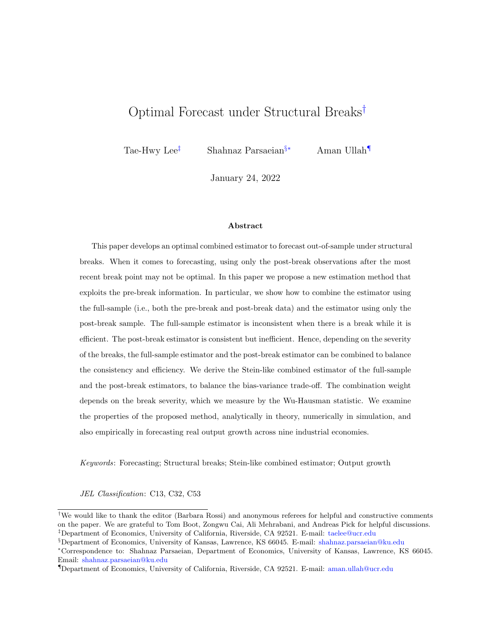# Optimal Forecast under Structural Breaks†

Tae-Hwy Lee‡ Shahnaz Parsaeian§∗ Aman Ullah¶

January 24, 2022

#### Abstract

This paper develops an optimal combined estimator to forecast out-of-sample under structural breaks. When it comes to forecasting, using only the post-break observations after the most recent break point may not be optimal. In this paper we propose a new estimation method that exploits the pre-break information. In particular, we show how to combine the estimator using the full-sample (i.e., both the pre-break and post-break data) and the estimator using only the post-break sample. The full-sample estimator is inconsistent when there is a break while it is efficient. The post-break estimator is consistent but inefficient. Hence, depending on the severity of the breaks, the full-sample estimator and the post-break estimator can be combined to balance the consistency and efficiency. We derive the Stein-like combined estimator of the full-sample and the post-break estimators, to balance the bias-variance trade-off. The combination weight depends on the break severity, which we measure by the Wu-Hausman statistic. We examine the properties of the proposed method, analytically in theory, numerically in simulation, and also empirically in forecasting real output growth across nine industrial economies.

Keywords: Forecasting; Structural breaks; Stein-like combined estimator; Output growth

JEL Classification: C13, C32, C53

<sup>†</sup>We would like to thank the editor (Barbara Rossi) and anonymous referees for helpful and constructive comments on the paper. We are grateful to Tom Boot, Zongwu Cai, Ali Mehrabani, and Andreas Pick for helpful discussions. ‡Department of Economics, University of California, Riverside, CA 92521. E-mail: taelee@ucr.edu

<sup>§</sup>Department of Economics, University of Kansas, Lawrence, KS 66045. E-mail: shahnaz.parsaeian@ku.edu

<sup>∗</sup>Correspondence to: Shahnaz Parsaeian, Department of Economics, University of Kansas, Lawrence, KS 66045. Email: shahnaz.parsaeian@ku.edu

<sup>¶</sup>Department of Economics, University of California, Riverside, CA 92521. E-mail: aman.ullah@ucr.edu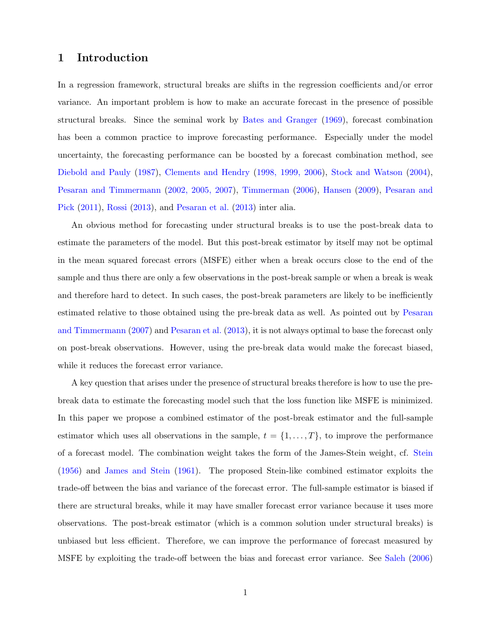### 1 Introduction

In a regression framework, structural breaks are shifts in the regression coefficients and/or error variance. An important problem is how to make an accurate forecast in the presence of possible structural breaks. Since the seminal work by [Bates and Granger](#page-22-0) [\(1969\)](#page-22-0), forecast combination has been a common practice to improve forecasting performance. Especially under the model uncertainty, the forecasting performance can be boosted by a forecast combination method, see [Diebold and Pauly](#page-22-1) [\(1987\)](#page-22-1), [Clements and Hendry](#page-22-2) [\(1998, 1999, 2006\)](#page-22-2), [Stock and Watson](#page-24-0) [\(2004\)](#page-24-0), [Pesaran and Timmermann](#page-23-0) [\(2002, 2005, 2007\)](#page-23-0), [Timmerman](#page-24-1) [\(2006\)](#page-24-1), [Hansen](#page-22-3) [\(2009\)](#page-22-3), [Pesaran and](#page-24-2) [Pick](#page-24-2) [\(2011\)](#page-24-2), [Rossi](#page-24-3) [\(2013\)](#page-24-3), and [Pesaran et al.](#page-24-4) [\(2013\)](#page-24-4) inter alia.

An obvious method for forecasting under structural breaks is to use the post-break data to estimate the parameters of the model. But this post-break estimator by itself may not be optimal in the mean squared forecast errors (MSFE) either when a break occurs close to the end of the sample and thus there are only a few observations in the post-break sample or when a break is weak and therefore hard to detect. In such cases, the post-break parameters are likely to be inefficiently estimated relative to those obtained using the pre-break data as well. As pointed out by [Pesaran](#page-24-5) [and Timmermann](#page-24-5) [\(2007\)](#page-24-5) and [Pesaran et al.](#page-24-4) [\(2013\)](#page-24-4), it is not always optimal to base the forecast only on post-break observations. However, using the pre-break data would make the forecast biased, while it reduces the forecast error variance.

A key question that arises under the presence of structural breaks therefore is how to use the prebreak data to estimate the forecasting model such that the loss function like MSFE is minimized. In this paper we propose a combined estimator of the post-break estimator and the full-sample estimator which uses all observations in the sample,  $t = \{1, \ldots, T\}$ , to improve the performance of a forecast model. The combination weight takes the form of the James-Stein weight, cf. [Stein](#page-24-6) [\(1956\)](#page-24-6) and [James and Stein](#page-23-1) [\(1961\)](#page-23-1). The proposed Stein-like combined estimator exploits the trade-off between the bias and variance of the forecast error. The full-sample estimator is biased if there are structural breaks, while it may have smaller forecast error variance because it uses more observations. The post-break estimator (which is a common solution under structural breaks) is unbiased but less efficient. Therefore, we can improve the performance of forecast measured by MSFE by exploiting the trade-off between the bias and forecast error variance. See [Saleh](#page-24-7) [\(2006\)](#page-24-7)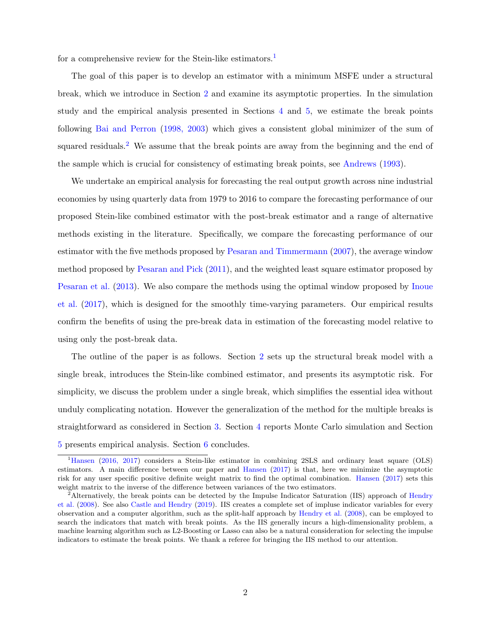for a comprehensive review for the Stein-like estimators.<sup>[1](#page-2-0)</sup>

The goal of this paper is to develop an estimator with a minimum MSFE under a structural break, which we introduce in Section [2](#page-3-0) and examine its asymptotic properties. In the simulation study and the empirical analysis presented in Sections [4](#page-15-0) and [5,](#page-19-0) we estimate the break points following [Bai and Perron](#page-22-4) [\(1998, 2003\)](#page-22-4) which gives a consistent global minimizer of the sum of squared residuals.<sup>[2](#page-2-1)</sup> We assume that the break points are away from the beginning and the end of the sample which is crucial for consistency of estimating break points, see [Andrews](#page-22-5) [\(1993\)](#page-22-5).

We undertake an empirical analysis for forecasting the real output growth across nine industrial economies by using quarterly data from 1979 to 2016 to compare the forecasting performance of our proposed Stein-like combined estimator with the post-break estimator and a range of alternative methods existing in the literature. Specifically, we compare the forecasting performance of our estimator with the five methods proposed by [Pesaran and Timmermann](#page-24-5) [\(2007\)](#page-24-5), the average window method proposed by [Pesaran and Pick](#page-24-2) [\(2011\)](#page-24-2), and the weighted least square estimator proposed by [Pesaran et al.](#page-24-4) [\(2013\)](#page-24-4). We also compare the methods using the optimal window proposed by [Inoue](#page-23-2) [et al.](#page-23-2) [\(2017\)](#page-23-2), which is designed for the smoothly time-varying parameters. Our empirical results confirm the benefits of using the pre-break data in estimation of the forecasting model relative to using only the post-break data.

The outline of the paper is as follows. Section [2](#page-3-0) sets up the structural break model with a single break, introduces the Stein-like combined estimator, and presents its asymptotic risk. For simplicity, we discuss the problem under a single break, which simplifies the essential idea without unduly complicating notation. However the generalization of the method for the multiple breaks is straightforward as considered in Section [3.](#page-13-0) Section [4](#page-15-0) reports Monte Carlo simulation and Section [5](#page-19-0) presents empirical analysis. Section [6](#page-21-0) concludes.

<span id="page-2-0"></span><sup>&</sup>lt;sup>1</sup>[Hansen](#page-23-3) [\(2016, 2017\)](#page-23-3) considers a Stein-like estimator in combining 2SLS and ordinary least square (OLS) estimators. A main difference between our paper and [Hansen](#page-23-4) [\(2017\)](#page-23-4) is that, here we minimize the asymptotic risk for any user specific positive definite weight matrix to find the optimal combination. [Hansen](#page-23-4) [\(2017\)](#page-23-4) sets this weight matrix to the inverse of the difference between variances of the two estimators.

<span id="page-2-1"></span><sup>&</sup>lt;sup>2</sup>Alternatively, the break points can be detected by the Impulse Indicator Saturation (IIS) approach of [Hendry](#page-23-5) [et al.](#page-23-5) [\(2008\)](#page-23-5). See also [Castle and Hendry](#page-22-6) [\(2019\)](#page-22-6). IIS creates a complete set of impluse indicator variables for every observation and a computer algorithm, such as the split-half approach by [Hendry et al.](#page-23-5) [\(2008\)](#page-23-5), can be employed to search the indicators that match with break points. As the IIS generally incurs a high-dimensionality problem, a machine learning algorithm such as L2-Boosting or Lasso can also be a natural consideration for selecting the impulse indicators to estimate the break points. We thank a referee for bringing the IIS method to our attention.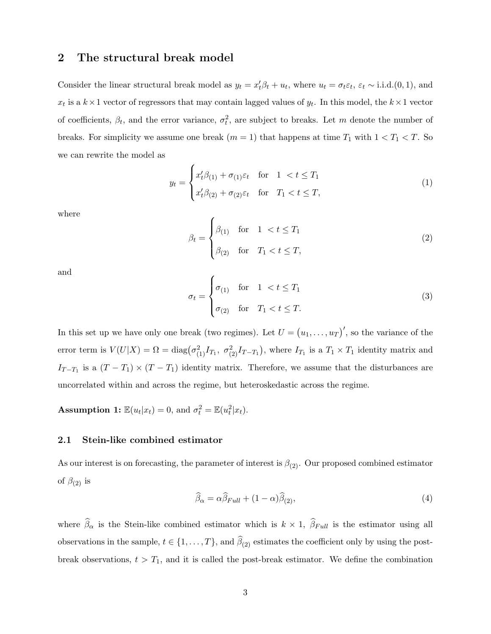### <span id="page-3-0"></span>2 The structural break model

Consider the linear structural break model as  $y_t = x_t' \beta_t + u_t$ , where  $u_t = \sigma_t \varepsilon_t$ ,  $\varepsilon_t \sim$  i.i.d.(0, 1), and  $x_t$  is a  $k \times 1$  vector of regressors that may contain lagged values of  $y_t$ . In this model, the  $k \times 1$  vector of coefficients,  $\beta_t$ , and the error variance,  $\sigma_t^2$ , are subject to breaks. Let m denote the number of breaks. For simplicity we assume one break  $(m = 1)$  that happens at time  $T_1$  with  $1 < T_1 < T$ . So we can rewrite the model as

$$
y_t = \begin{cases} x'_t \beta_{(1)} + \sigma_{(1)} \varepsilon_t & \text{for} \quad 1 < t \le T_1 \\ x'_t \beta_{(2)} + \sigma_{(2)} \varepsilon_t & \text{for} \quad T_1 < t \le T, \end{cases} \tag{1}
$$

where

$$
\beta_t = \begin{cases} \beta_{(1)} & \text{for} \quad 1 < t \le T_1 \\ \beta_{(2)} & \text{for} \quad T_1 < t \le T, \end{cases} \tag{2}
$$

and

$$
\sigma_t = \begin{cases} \sigma_{(1)} & \text{for} \quad 1 < t \le T_1 \\ \sigma_{(2)} & \text{for} \quad T_1 < t \le T. \end{cases} \tag{3}
$$

In this set up we have only one break (two regimes). Let  $U = (u_1, \ldots, u_T)'$ , so the variance of the error term is  $V(U|X) = \Omega = \text{diag}(\sigma_{(1)}^2 I_{T_1}, \sigma_{(2)}^2 I_{T-T_1}),$  where  $I_{T_1}$  is a  $T_1 \times T_1$  identity matrix and  $I_{T-T_1}$  is a  $(T-T_1) \times (T-T_1)$  identity matrix. Therefore, we assume that the disturbances are uncorrelated within and across the regime, but heteroskedastic across the regime.

<span id="page-3-2"></span>**Assumption 1:**  $\mathbb{E}(u_t|x_t) = 0$ , and  $\sigma_t^2 = \mathbb{E}(u_t^2|x_t)$ .

#### 2.1 Stein-like combined estimator

As our interest is on forecasting, the parameter of interest is  $\beta_{(2)}$ . Our proposed combined estimator of  $\beta_{(2)}$  is

<span id="page-3-1"></span>
$$
\widehat{\beta}_{\alpha} = \alpha \widehat{\beta}_{Full} + (1 - \alpha) \widehat{\beta}_{(2)},\tag{4}
$$

where  $\beta_{\alpha}$  is the Stein-like combined estimator which is  $k \times 1$ ,  $\beta_{Full}$  is the estimator using all observations in the sample,  $t \in \{1, ..., T\}$ , and  $\beta_{(2)}$  estimates the coefficient only by using the postbreak observations,  $t > T_1$ , and it is called the post-break estimator. We define the combination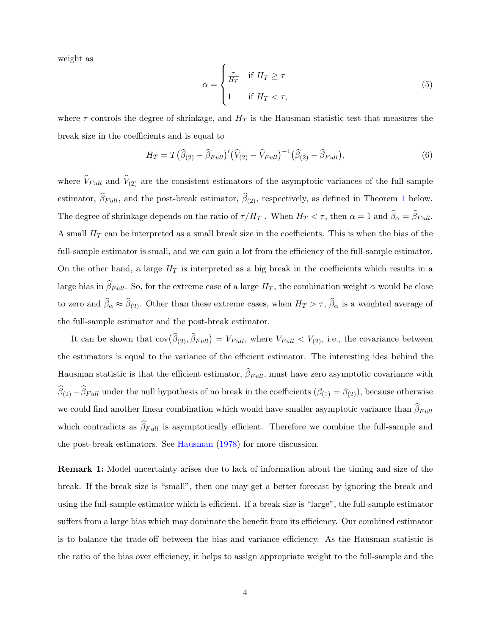weight as

<span id="page-4-0"></span>
$$
\alpha = \begin{cases} \frac{\tau}{H_T} & \text{if } H_T \ge \tau \\ 1 & \text{if } H_T < \tau, \end{cases} \tag{5}
$$

where  $\tau$  controls the degree of shrinkage, and  $H_T$  is the Hausman statistic test that measures the break size in the coefficients and is equal to

$$
H_T = T(\widehat{\beta}_{(2)} - \widehat{\beta}_{Full})'(\widehat{V}_{(2)} - \widehat{V}_{Full})^{-1}(\widehat{\beta}_{(2)} - \widehat{\beta}_{Full}),
$$
\n(6)

where  $V_{Full}$  and  $V_{(2)}$  are the consistent estimators of the asymptotic variances of the full-sample estimator,  $\beta_{Full}$ , and the post-break estimator,  $\beta_{(2)}$ , respectively, as defined in Theorem [1](#page-7-0) below. The degree of shrinkage depends on the ratio of  $\tau/H_T$ . When  $H_T < \tau$ , then  $\alpha = 1$  and  $\beta_{\alpha} = \beta_{Full}$ . A small  $H_T$  can be interpreted as a small break size in the coefficients. This is when the bias of the full-sample estimator is small, and we can gain a lot from the efficiency of the full-sample estimator. On the other hand, a large  $H_T$  is interpreted as a big break in the coefficients which results in a large bias in  $\beta_{Full}$ . So, for the extreme case of a large  $H_T$ , the combination weight  $\alpha$  would be close to zero and  $\beta_{\alpha} \approx \beta_{(2)}$ . Other than these extreme cases, when  $H_T > \tau$ ,  $\beta_{\alpha}$  is a weighted average of the full-sample estimator and the post-break estimator.

It can be shown that  $cov(\hat{\beta}_{(2)}, \hat{\beta}_{Full}) = V_{Full}$ , where  $V_{Full} < V_{(2)}$ , i.e., the covariance between the estimators is equal to the variance of the efficient estimator. The interesting idea behind the Hausman statistic is that the efficient estimator,  $\beta_{Full}$ , must have zero asymptotic covariance with  $\beta_{(2)} - \beta_{Full}$  under the null hypothesis of no break in the coefficients  $(\beta_{(1)} = \beta_{(2)})$ , because otherwise we could find another linear combination which would have smaller asymptotic variance than  $\beta_{Full}$ which contradicts as  $\beta_{Full}$  is asymptotically efficient. Therefore we combine the full-sample and the post-break estimators. See [Hausman](#page-23-6) [\(1978\)](#page-23-6) for more discussion.

Remark 1: Model uncertainty arises due to lack of information about the timing and size of the break. If the break size is "small", then one may get a better forecast by ignoring the break and using the full-sample estimator which is efficient. If a break size is "large", the full-sample estimator suffers from a large bias which may dominate the benefit from its efficiency. Our combined estimator is to balance the trade-off between the bias and variance efficiency. As the Hausman statistic is the ratio of the bias over efficiency, it helps to assign appropriate weight to the full-sample and the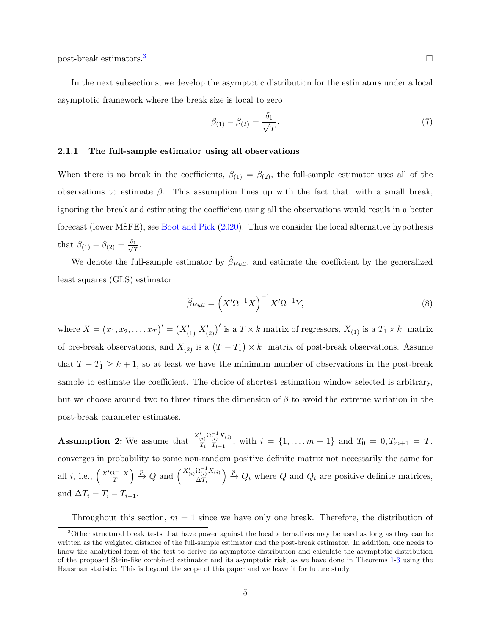post-break estimators.[3](#page-5-0)

In the next subsections, we develop the asymptotic distribution for the estimators under a local asymptotic framework where the break size is local to zero

<span id="page-5-3"></span>
$$
\beta_{(1)} - \beta_{(2)} = \frac{\delta_1}{\sqrt{T}}.\tag{7}
$$

#### 2.1.1 The full-sample estimator using all observations

When there is no break in the coefficients,  $\beta_{(1)} = \beta_{(2)}$ , the full-sample estimator uses all of the observations to estimate  $\beta$ . This assumption lines up with the fact that, with a small break, ignoring the break and estimating the coefficient using all the observations would result in a better forecast (lower MSFE), see [Boot and Pick](#page-22-7) [\(2020\)](#page-22-7). Thus we consider the local alternative hypothesis that  $\beta_{(1)} - \beta_{(2)} = \frac{\delta_1}{\sqrt{2}}$  $\frac{1}{T}$ .

We denote the full-sample estimator by  $\beta_{Full}$ , and estimate the coefficient by the generalized least squares (GLS) estimator

<span id="page-5-1"></span>
$$
\widehat{\beta}_{Full} = \left(X'\Omega^{-1}X\right)^{-1}X'\Omega^{-1}Y,\tag{8}
$$

where  $X = (x_1, x_2, \ldots, x_T)' = (X'_{(1)} \ X'_{(2)})'$  is a  $T \times k$  matrix of regressors,  $X_{(1)}$  is a  $T_1 \times k$  matrix of pre-break observations, and  $X_{(2)}$  is a  $(T - T_1) \times k$  matrix of post-break observations. Assume that  $T - T_1 \geq k + 1$ , so at least we have the minimum number of observations in the post-break sample to estimate the coefficient. The choice of shortest estimation window selected is arbitrary, but we choose around two to three times the dimension of  $\beta$  to avoid the extreme variation in the post-break parameter estimates.

<span id="page-5-2"></span>**Assumption 2:** We assume that  $\frac{X'_{(i)}\Omega_{(i)}^{-1}X_{(i)}}{T-T}$  $\frac{(i)^{i} \cdot \binom{i}{j} \cdot \binom{i}{k}}{T_i - T_{i-1}},$  with  $i = \{1, \ldots, m+1\}$  and  $T_0 = 0, T_{m+1} = T$ , converges in probability to some non-random positive definite matrix not necessarily the same for all *i*, i.e.,  $\left(\frac{X'\Omega^{-1}X}{T}\right)$  $\frac{p_1-1}{T}$   $\rightarrow Q$  and  $\left(\frac{X'_{(i)}\Omega_{(i)}^{-1}X_{(i)}}{\Delta T_i}\right)$  $\Delta T_i$  $\Big) \stackrel{p}{\rightarrow} Q_i$  where Q and  $Q_i$  are positive definite matrices, and  $\Delta T_i = T_i - T_{i-1}$ .

<span id="page-5-0"></span>Throughout this section,  $m = 1$  since we have only one break. Therefore, the distribution of

<sup>3</sup>Other structural break tests that have power against the local alternatives may be used as long as they can be written as the weighted distance of the full-sample estimator and the post-break estimator. In addition, one needs to know the analytical form of the test to derive its asymptotic distribution and calculate the asymptotic distribution of the proposed Stein-like combined estimator and its asymptotic risk, as we have done in Theorems [1-](#page-7-0)[3](#page-9-0) using the Hausman statistic. This is beyond the scope of this paper and we leave it for future study.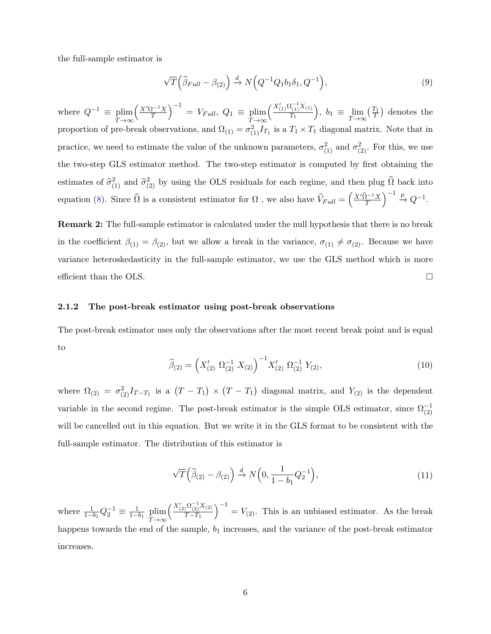the full-sample estimator is

$$
\sqrt{T}\left(\widehat{\beta}_{Full} - \beta_{(2)}\right) \xrightarrow{d} N\left(Q^{-1}Q_1b_1\delta_1, Q^{-1}\right),\tag{9}
$$

where  $Q^{-1} \equiv \text{plim}$  $T\rightarrow\infty$  $\int \underline{X' \Omega^{-1} X}$  $\left(\frac{Q^{-1}X}{T}\right)^{-1} = V_{Full}, \ Q_1 \equiv \text{plim}_{T \to \infty}$  $\int \frac{X'_{(1)}\Omega_{(1)}^{-1}X_{(1)}}{X_{(1)}}$  $T_1$  $b_1 \equiv \lim_{T \to \infty} (\frac{T_1}{T})$  denotes the proportion of pre-break observations, and  $\Omega_{(1)} = \sigma_{(1)}^2 I_{T_1}$  is a  $T_1 \times T_1$  diagonal matrix. Note that in practice, we need to estimate the value of the unknown parameters,  $\sigma_{(1)}^2$  and  $\sigma_{(2)}^2$ . For this, we use the two-step GLS estimator method. The two-step estimator is computed by first obtaining the estimates of  $\hat{\sigma}_{(1)}^2$  and  $\hat{\sigma}_{(2)}^2$  by using the OLS residuals for each regime, and then plug  $\hat{\Omega}$  back into equation [\(8\)](#page-5-1). Since  $\widehat{\Omega}$  is a consistent estimator for  $\Omega$ , we also have  $\widehat{V}_{Full} = \left(\frac{X'\widehat{\Omega}^{-1}X}{T}\right)^{-1} \stackrel{p}{\to} Q^{-1}$ .

Remark 2: The full-sample estimator is calculated under the null hypothesis that there is no break in the coefficient  $\beta_{(1)} = \beta_{(2)}$ , but we allow a break in the variance,  $\sigma_{(1)} \neq \sigma_{(2)}$ . Because we have variance heteroskedasticity in the full-sample estimator, we use the GLS method which is more efficient than the OLS.  $\Box$ 

#### 2.1.2 The post-break estimator using post-break observations

The post-break estimator uses only the observations after the most recent break point and is equal to

$$
\widehat{\beta}_{(2)} = \left(X'_{(2)} \ \Omega_{(2)}^{-1} \ X_{(2)}\right)^{-1} X'_{(2)} \ \Omega_{(2)}^{-1} \ Y_{(2)},\tag{10}
$$

where  $\Omega_{(2)} = \sigma_{(2)}^2 I_{T-T_1}$  is a  $(T - T_1) \times (T - T_1)$  diagonal matrix, and  $Y_{(2)}$  is the dependent variable in the second regime. The post-break estimator is the simple OLS estimator, since  $\Omega_{(2)}^{-1}$ will be cancelled out in this equation. But we write it in the GLS format to be consistent with the full-sample estimator. The distribution of this estimator is

$$
\sqrt{T}\left(\widehat{\beta}_{(2)} - \beta_{(2)}\right) \stackrel{d}{\rightarrow} N\left(0, \frac{1}{1 - b_1} Q_2^{-1}\right),\tag{11}
$$

where  $\frac{1}{1-b_1}Q_2^{-1} \equiv \frac{1}{1-b_1}$  plim  $T\rightarrow\infty$  $\int \frac{X'_{(2)}\Omega_{(2)}^{-1}X_{(2)}}{X_{(2)}}$  $T - T_1$  $\big)^{-1} = V_{(2)}$ . This is an unbiased estimator. As the break happens towards the end of the sample,  $b_1$  increases, and the variance of the post-break estimator increases.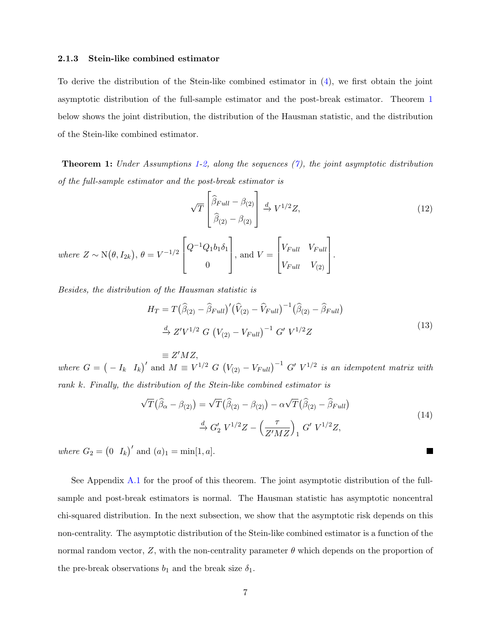#### 2.1.3 Stein-like combined estimator

To derive the distribution of the Stein-like combined estimator in [\(4\)](#page-3-1), we first obtain the joint asymptotic distribution of the full-sample estimator and the post-break estimator. Theorem [1](#page-7-0) below shows the joint distribution, the distribution of the Hausman statistic, and the distribution of the Stein-like combined estimator.

<span id="page-7-0"></span>**Theorem [1](#page-3-2):** Under Assumptions 1[-2,](#page-5-2) along the sequences  $(7)$ , the joint asymptotic distribution of the full-sample estimator and the post-break estimator is

$$
\sqrt{T} \begin{bmatrix} \hat{\beta}_{Full} - \beta_{(2)} \\ \hat{\beta}_{(2)} - \beta_{(2)} \end{bmatrix} \xrightarrow{d} V^{1/2} Z,
$$
\n(12)

where  $Z \sim N(\theta, I_{2k}), \theta = V^{-1/2}$  $\sqrt{ }$  $\vert$  $Q^{-1}Q_1b_1\delta_1$  $\overline{0}$ 1  $\Big\vert$ , and  $V =$  $\sqrt{ }$  $\vert$  $V_{Full}$   $V_{Full}$  $V_{Full}$   $V_{(2)}$ 1  $\vert \cdot$ 

Besides, the distribution of the Hausman statistic is

$$
H_T = T(\hat{\beta}_{(2)} - \hat{\beta}_{Full})'(\hat{V}_{(2)} - \hat{V}_{Full})^{-1}(\hat{\beta}_{(2)} - \hat{\beta}_{Full})
$$
  
\n
$$
\xrightarrow{d} Z'V^{1/2} G (V_{(2)} - V_{Full})^{-1} G' V^{1/2} Z
$$
\n(13)

 $\equiv Z'MZ,$ where  $G = \begin{pmatrix} -I_k & I_k \end{pmatrix}'$  and  $M \equiv V^{1/2} G (V_{(2)} - V_{Full})^{-1} G' V^{1/2}$  is an idempotent matrix with rank k. Finally, the distribution of the Stein-like combined estimator is

<span id="page-7-1"></span>
$$
\sqrt{T}(\widehat{\beta}_{\alpha} - \beta_{(2)}) = \sqrt{T}(\widehat{\beta}_{(2)} - \beta_{(2)}) - \alpha \sqrt{T}(\widehat{\beta}_{(2)} - \widehat{\beta}_{Full})
$$
  

$$
\xrightarrow{d} G'_{2} V^{1/2} Z - \left(\frac{\tau}{Z'MZ}\right)_{1} G' V^{1/2} Z,
$$
\n(14)

**The Second Service** 

where  $G_2 = (0 \ I_k)'$  and  $(a)_1 = \min[1, a]$ .

See Appendix [A.1](#page-25-0) for the proof of this theorem. The joint asymptotic distribution of the fullsample and post-break estimators is normal. The Hausman statistic has asymptotic noncentral chi-squared distribution. In the next subsection, we show that the asymptotic risk depends on this non-centrality. The asymptotic distribution of the Stein-like combined estimator is a function of the normal random vector, Z, with the non-centrality parameter  $\theta$  which depends on the proportion of the pre-break observations  $b_1$  and the break size  $\delta_1$ .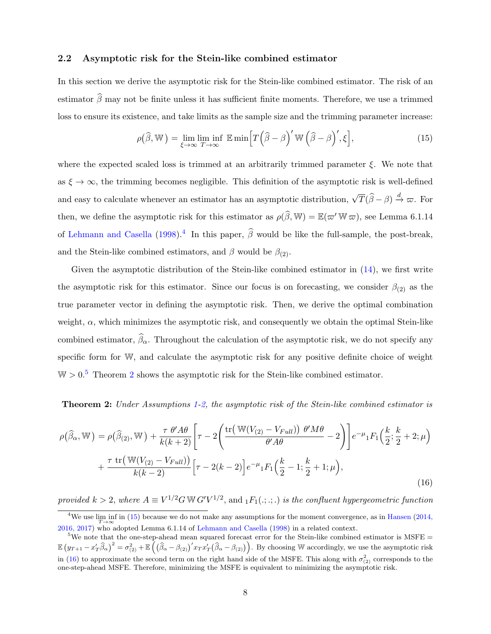#### 2.2 Asymptotic risk for the Stein-like combined estimator

In this section we derive the asymptotic risk for the Stein-like combined estimator. The risk of an estimator  $\widehat{\beta}$  may not be finite unless it has sufficient finite moments. Therefore, we use a trimmed loss to ensure its existence, and take limits as the sample size and the trimming parameter increase:

<span id="page-8-3"></span>
$$
\rho(\widehat{\beta}, \mathbb{W}) = \lim_{\xi \to \infty} \lim_{T \to \infty} \mathbb{E} \min \Big[ T(\widehat{\beta} - \beta)^{'} \mathbb{W}(\widehat{\beta} - \beta)^{'} , \xi \Big], \tag{15}
$$

where the expected scaled loss is trimmed at an arbitrarily trimmed parameter  $\xi$ . We note that as  $\xi \to \infty$ , the trimming becomes negligible. This definition of the asymptotic risk is well-defined and easy to calculate whenever an estimator has an asymptotic distribution,  $\sqrt{T}(\hat{\beta}-\beta) \stackrel{d}{\rightarrow} \varpi$ . For then, we define the asymptotic risk for this estimator as  $\rho(\widehat{\beta}, W) = \mathbb{E}(\varpi' W \varpi)$ , see Lemma 6.1.14 of [Lehmann and Casella](#page-23-7) [\(1998\)](#page-23-7).<sup>[4](#page-8-0)</sup> In this paper,  $\hat{\beta}$  would be like the full-sample, the post-break, and the Stein-like combined estimators, and  $\beta$  would be  $\beta_{(2)}$ .

Given the asymptotic distribution of the Stein-like combined estimator in  $(14)$ , we first write the asymptotic risk for this estimator. Since our focus is on forecasting, we consider  $\beta_{(2)}$  as the true parameter vector in defining the asymptotic risk. Then, we derive the optimal combination weight,  $\alpha$ , which minimizes the asymptotic risk, and consequently we obtain the optimal Stein-like combined estimator,  $\hat{\beta}_{\alpha}$ . Throughout the calculation of the asymptotic risk, we do not specify any specific form for W, and calculate the asymptotic risk for any positive definite choice of weight  $W > 0.5$  $W > 0.5$  Theorem [2](#page-8-2) shows the asymptotic risk for the Stein-like combined estimator.

<span id="page-8-2"></span>**Theorem 2:** Under Assumptions [1](#page-3-2)[-2,](#page-5-2) the asymptotic risk of the Stein-like combined estimator is

<span id="page-8-4"></span>
$$
\rho(\widehat{\beta}_{\alpha}, \mathbb{W}) = \rho(\widehat{\beta}_{(2)}, \mathbb{W}) + \frac{\tau \ \theta' A \theta}{k(k+2)} \bigg[ \tau - 2 \bigg( \frac{\text{tr}(\mathbb{W}(V_{(2)} - V_{Full})) \ \theta' M \theta}{\theta' A \theta} - 2 \bigg) \bigg] e^{-\mu_1} F_1 \bigg( \frac{k}{2}; \frac{k}{2} + 2; \mu \bigg) + \frac{\tau \ \text{tr}(\mathbb{W}(V_{(2)} - V_{Full}))}{k(k-2)} \bigg[ \tau - 2(k-2) \bigg] e^{-\mu_1} F_1 \bigg( \frac{k}{2} - 1; \frac{k}{2} + 1; \mu \bigg),
$$
\n(16)

provided  $k > 2$ , where  $A \equiv V^{1/2} G \mathbb{W} G' V^{1/2}$ , and  $_1F_1(.;.;.)$  is the confluent hypergeometric function

<span id="page-8-0"></span><sup>&</sup>lt;sup>4</sup>We use  $\liminf$  in [\(15\)](#page-8-3) because we do not make any assumptions for the moment convergence, as in [Hansen](#page-23-8) [\(2014,](#page-23-8)  $T\rightarrow\infty$ <br>[2016, 2017\)](#page-23-8) who adopted Lemma 6.1.14 of [Lehmann and Casella](#page-23-7) [\(1998\)](#page-23-7) in a related context.

<span id="page-8-1"></span><sup>&</sup>lt;sup>5</sup>We note that the one-step-ahead mean squared forecast error for the Stein-like combined estimator is MSFE =  $\mathbb{E}\left(y_{T+1}-x_{T}'\widehat{\beta}_{\alpha}\right)^{2}=\sigma_{(2)}^{2}+\mathbb{E}\left(\left(\widehat{\beta}_{\alpha}-\beta_{(2)}\right)'x_{T}x_{T}'\left(\widehat{\beta}_{\alpha}-\beta_{(2)}\right)\right).$  By choosing W accordingly, we use the asymptotic risk in [\(16\)](#page-8-4) to approximate the second term on the right hand side of the MSFE. This along with  $\sigma_{(2)}^2$  corresponds to the one-step-ahead MSFE. Therefore, minimizing the MSFE is equivalent to minimizing the asymptotic risk.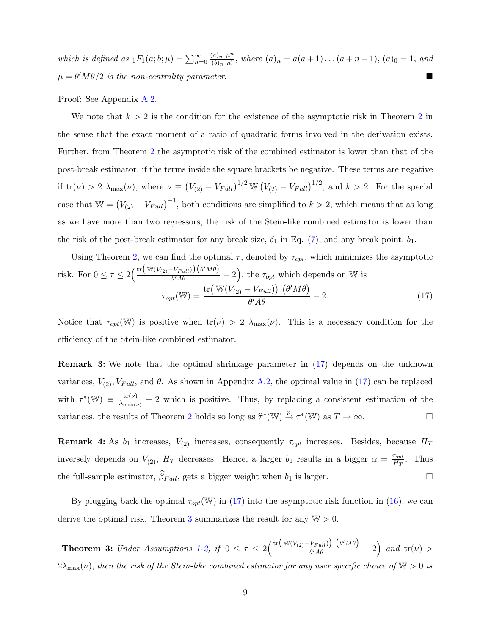which is defined as  $_1F_1(a;b;\mu) = \sum_{n=0}^{\infty}$  $(a)_n$   $\mu^n$  $(a)_{n}\frac{a_{n}}{n!}$ , where  $(a)_{n} = a(a+1)...(a+n-1), (a)_{0} = 1,$  and  $\mu = \theta' M \theta / 2$  is the non-centrality parameter.

Proof: See Appendix [A.2.](#page-25-1)

We note that  $k > 2$  $k > 2$  is the condition for the existence of the asymptotic risk in Theorem 2 in the sense that the exact moment of a ratio of quadratic forms involved in the derivation exists. Further, from Theorem [2](#page-8-2) the asymptotic risk of the combined estimator is lower than that of the post-break estimator, if the terms inside the square brackets be negative. These terms are negative if  $\text{tr}(\nu) > 2 \lambda_{\text{max}}(\nu)$ , where  $\nu \equiv (V_{(2)} - V_{Full})^{1/2} \mathbb{W} (V_{(2)} - V_{Full})^{1/2}$ , and  $k > 2$ . For the special case that  $\mathbb{W} = (V_{(2)} - V_{Full})^{-1}$ , both conditions are simplified to  $k > 2$ , which means that as long as we have more than two regressors, the risk of the Stein-like combined estimator is lower than the risk of the post-break estimator for any break size,  $\delta_1$  in Eq. [\(7\)](#page-5-3), and any break point,  $b_1$ .

<span id="page-9-1"></span>Using Theorem [2,](#page-8-2) we can find the optimal  $\tau$ , denoted by  $\tau_{opt}$ , which minimizes the asymptotic risk. For  $0 \leq \tau \leq 2\left(\frac{\text{tr}\left(\mathbb{W}(V_{(2)}-V_{Full})\right)(\theta'M\theta)}{\theta'M\theta}\right)$  $\frac{F(V_{Full})\left(\theta'M\theta\right)}{\theta'M\theta} - 2$ , the  $\tau_{opt}$  which depends on W is  $\tau_{opt}(\mathbb{W}) = \frac{\text{tr}(\mathbb{W}(V_{(2)} - V_{Full}))(\theta' M \theta)}{g_{U} M \theta}$  $\frac{\partial P_{\text{att}}}{\partial P A \theta}$  - 2. (17)

Notice that  $\tau_{opt}(\mathbb{W})$  is positive when  $tr(\nu) > 2 \lambda_{max}(\nu)$ . This is a necessary condition for the efficiency of the Stein-like combined estimator.

Remark 3: We note that the optimal shrinkage parameter in [\(17\)](#page-9-1) depends on the unknown variances,  $V_{(2)}$ ,  $V_{Full}$ , and  $\theta$ . As shown in Appendix [A.2,](#page-25-1) the optimal value in [\(17\)](#page-9-1) can be replaced with  $\tau^*(\mathbb{W}) \equiv \frac{\text{tr}(\nu)}{\lambda}$  $\frac{\text{tr}(\nu)}{\lambda_{\max(\nu)}}$  – 2 which is positive. Thus, by replacing a consistent estimation of the variances, the results of Theorem [2](#page-8-2) holds so long as  $\hat{\tau}^*(\mathbb{W}) \stackrel{p}{\to} \tau^*(\mathbb{W})$  as  $T \to \infty$ .

**Remark 4:** As  $b_1$  increases,  $V_{(2)}$  increases, consequently  $\tau_{opt}$  increases. Besides, because  $H_T$ inversely depends on  $V_{(2)}$ ,  $H_T$  decreases. Hence, a larger  $b_1$  results in a bigger  $\alpha = \frac{\tau_{opt}}{H_T}$  $\frac{T_{opt}}{H_T}$ . Thus the full-sample estimator,  $\widehat{\beta}_{Full}$ , gets a bigger weight when  $b_1$  is larger.

By plugging back the optimal  $\tau_{opt}(\mathbb{W})$  in [\(17\)](#page-9-1) into the asymptotic risk function in [\(16\)](#page-8-4), we can derive the optimal risk. Theorem [3](#page-9-0) summarizes the result for any  $W > 0$ .

<span id="page-9-0"></span>**Theorem 3:** Under Assumptions [1-](#page-3-2)[2,](#page-5-2) if  $0 \leq \tau \leq 2 \left( \frac{\text{tr} \left( \mathbb{W}(V_{(2)} - V_{Full}) \right)}{\theta' A \theta} \right)$  $\frac{(V_{Full}) ( \theta' M \theta)}{\theta' A \theta} - 2 \right)$  and  $\text{tr}(\nu) > 0$  $2\lambda_{\max}(\nu)$ , then the risk of the Stein-like combined estimator for any user specific choice of  $\mathbb{W} > 0$  is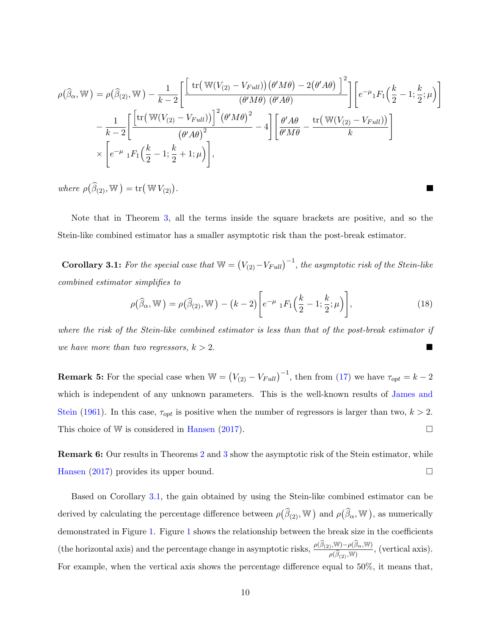$$
\rho(\widehat{\beta}_{\alpha}, \mathbb{W}) = \rho(\widehat{\beta}_{(2)}, \mathbb{W}) - \frac{1}{k-2} \left[ \frac{\left[ \text{tr}\left(\mathbb{W}(V_{(2)} - V_{Full})\right) (\theta' M \theta) - 2(\theta' A \theta) \right]^2}{(\theta' M \theta) (\theta' A \theta)} \right] \left[ e^{-\mu_1} F_1\left(\frac{k}{2} - 1; \frac{k}{2}; \mu\right) \right]
$$

$$
- \frac{1}{k-2} \left[ \frac{\left[ \text{tr}\left(\mathbb{W}(V_{(2)} - V_{Full})\right) \right]^2 (\theta' M \theta)^2}{(\theta' A \theta)^2} - 4 \right] \left[ \frac{\theta' A \theta}{\theta' M \theta} - \frac{\text{tr}\left(\mathbb{W}(V_{(2)} - V_{Full})\right)}{k} \right]
$$

$$
\times \left[ e^{-\mu_1} F_1\left(\frac{k}{2} - 1; \frac{k}{2} + 1; \mu\right) \right],
$$

where  $\rho(\widehat{\beta}_{(2)}, \mathbb{W}) = \text{tr}(\mathbb{W} V_{(2)}).$ 

Note that in Theorem [3,](#page-9-0) all the terms inside the square brackets are positive, and so the Stein-like combined estimator has a smaller asymptotic risk than the post-break estimator.

<span id="page-10-0"></span>**Corollary 3.1:** For the special case that  $\mathbb{W} = (V_{(2)} - V_{Full})^{-1}$ , the asymptotic risk of the Stein-like combined estimator simplifies to

$$
\rho(\widehat{\beta}_{\alpha}, \mathbb{W}) = \rho(\widehat{\beta}_{(2)}, \mathbb{W}) - (k - 2) \left[ e^{-\mu} {}_{1}F_{1}\left(\frac{k}{2} - 1; \frac{k}{2}; \mu\right) \right],\tag{18}
$$

**The Second Service** 

where the risk of the Stein-like combined estimator is less than that of the post-break estimator if we have more than two regressors,  $k > 2$ .

**Remark 5:** For the special case when  $\mathbb{W} = (V_{(2)} - V_{Full})^{-1}$ , then from [\(17\)](#page-9-1) we have  $\tau_{opt} = k - 2$ which is independent of any unknown parameters. This is the well-known results of [James and](#page-23-1) [Stein](#page-23-1) [\(1961\)](#page-23-1). In this case,  $\tau_{opt}$  is positive when the number of regressors is larger than two,  $k > 2$ . This choice of W is considered in [Hansen](#page-23-4) [\(2017\)](#page-23-4).  $\Box$ 

Remark 6: Our results in Theorems [2](#page-8-2) and [3](#page-9-0) show the asymptotic risk of the Stein estimator, while [Hansen](#page-23-4) [\(2017\)](#page-23-4) provides its upper bound.

Based on Corollary [3.1,](#page-10-0) the gain obtained by using the Stein-like combined estimator can be derived by calculating the percentage difference between  $\rho(\widehat\beta_{(2)}, \mathbb{W})$  and  $\rho(\widehat\beta_{\alpha}, \mathbb{W})$ , as numerically demonstrated in Figure [1.](#page-30-0) Figure [1](#page-30-0) shows the relationship between the break size in the coefficients (the horizontal axis) and the percentage change in asymptotic risks,  $\frac{\rho(\hat{\beta}_Q, W) - \rho(\hat{\beta}_\alpha, W)}{\rho(\hat{\beta}_Q, W)}$  $\frac{\rho(\widehat{\beta}_{(2)},w)-\rho(\widehat{\beta}_{(2)},w)}{\rho(\widehat{\beta}_{(2)},w)}$ , (vertical axis). For example, when the vertical axis shows the percentage difference equal to 50%, it means that,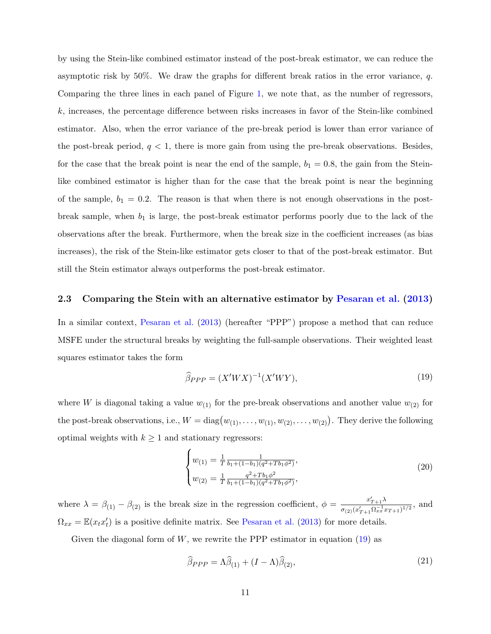by using the Stein-like combined estimator instead of the post-break estimator, we can reduce the asymptotic risk by 50%. We draw the graphs for different break ratios in the error variance,  $q$ . Comparing the three lines in each panel of Figure [1,](#page-30-0) we note that, as the number of regressors, k, increases, the percentage difference between risks increases in favor of the Stein-like combined estimator. Also, when the error variance of the pre-break period is lower than error variance of the post-break period,  $q < 1$ , there is more gain from using the pre-break observations. Besides, for the case that the break point is near the end of the sample,  $b_1 = 0.8$ , the gain from the Steinlike combined estimator is higher than for the case that the break point is near the beginning of the sample,  $b_1 = 0.2$ . The reason is that when there is not enough observations in the postbreak sample, when  $b_1$  is large, the post-break estimator performs poorly due to the lack of the observations after the break. Furthermore, when the break size in the coefficient increases (as bias increases), the risk of the Stein-like estimator gets closer to that of the post-break estimator. But still the Stein estimator always outperforms the post-break estimator.

#### 2.3 Comparing the Stein with an alternative estimator by [Pesaran et al.](#page-24-4) [\(2013\)](#page-24-4)

In a similar context, [Pesaran et al.](#page-24-4) [\(2013\)](#page-24-4) (hereafter "PPP") propose a method that can reduce MSFE under the structural breaks by weighting the full-sample observations. Their weighted least squares estimator takes the form

<span id="page-11-0"></span>
$$
\widehat{\beta}_{PPP} = (X'WX)^{-1}(X'WY),\tag{19}
$$

where W is diagonal taking a value  $w_{(1)}$  for the pre-break observations and another value  $w_{(2)}$  for the post-break observations, i.e.,  $W = diag(w_{(1)}, \ldots, w_{(1)}, w_{(2)}, \ldots, w_{(2)})$ . They derive the following optimal weights with  $k \geq 1$  and stationary regressors:

$$
\begin{cases} w_{(1)} = \frac{1}{T} \frac{1}{b_1 + (1 - b_1)(q^2 + Tb_1\phi^2)},\\ w_{(2)} = \frac{1}{T} \frac{q^2 + Tb_1\phi^2}{b_1 + (1 - b_1)(q^2 + Tb_1\phi^2)}, \end{cases}
$$
(20)

where  $\lambda = \beta_{(1)} - \beta_{(2)}$  is the break size in the regression coefficient,  $\phi = \frac{x'_{T+1}\lambda}{\sigma(T)}$  $\frac{x_{T+1}x_0}{\sigma_{(2)}(x'_{T+1}\Omega_{xx}^{-1}x_{T+1})^{1/2}}, \text{ and}$  $\Omega_{xx} = \mathbb{E}(x_t x_t)$  is a positive definite matrix. See [Pesaran et al.](#page-24-4) [\(2013\)](#page-24-4) for more details.

Given the diagonal form of  $W$ , we rewrite the PPP estimator in equation [\(19\)](#page-11-0) as

$$
\widehat{\beta}_{PPP} = \Lambda \widehat{\beta}_{(1)} + (I - \Lambda) \widehat{\beta}_{(2)},\tag{21}
$$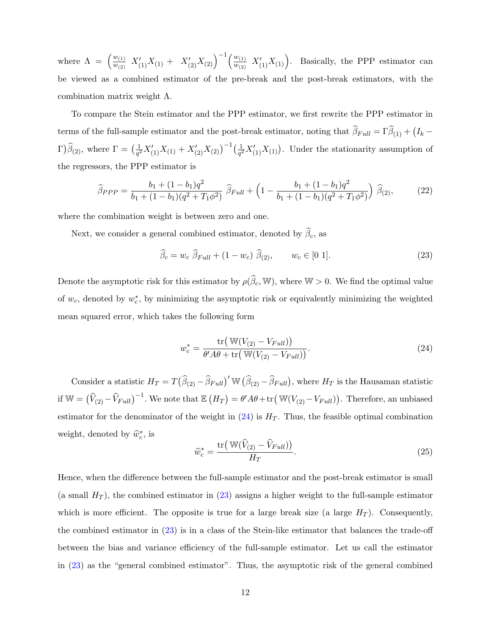where  $\Lambda = \left(\frac{w_{(1)}}{w_{(2)}}\right)$  $\frac{w_{(1)}}{w_{(2)}}$   $X'_{(1)}X_{(1)} + X'_{(2)}X_{(2)} \Big)^{-1} \Big(\frac{w_{(1)}}{w_{(2)}}$  $\frac{w_{(1)}}{w_{(2)}}$   $X'_{(1)}X_{(1)}$ . Basically, the PPP estimator can be viewed as a combined estimator of the pre-break and the post-break estimators, with the combination matrix weight  $\Lambda$ .

To compare the Stein estimator and the PPP estimator, we first rewrite the PPP estimator in terms of the full-sample estimator and the post-break estimator, noting that  $\hat{\beta}_{Full} = \Gamma \hat{\beta}_{(1)} + (I_k - I_k)$  $\Gamma$ ) $\widehat{\beta}_{(2)}$ , where  $\Gamma = \left(\frac{1}{q^2}\right)$  $\frac{1}{q^2}X'_{(1)}X_{(1)}+X'_{(2)}X_{(2)}\big)^{-1}\big(\frac{1}{q^2}$  $\frac{1}{q^2}X'_{(1)}X_{(1)}$ . Under the stationarity assumption of the regressors, the PPP estimator is

<span id="page-12-2"></span>
$$
\widehat{\beta}_{PPP} = \frac{b_1 + (1 - b_1)q^2}{b_1 + (1 - b_1)(q^2 + T_1\phi^2)} \widehat{\beta}_{Full} + \left(1 - \frac{b_1 + (1 - b_1)q^2}{b_1 + (1 - b_1)(q^2 + T_1\phi^2)}\right) \widehat{\beta}_{(2)},
$$
\n(22)

where the combination weight is between zero and one.

Next, we consider a general combined estimator, denoted by  $\widehat{\beta}_c$ , as

<span id="page-12-1"></span>
$$
\widehat{\beta}_c = w_c \widehat{\beta}_{Full} + (1 - w_c) \widehat{\beta}_{(2)}, \qquad w_c \in [0 \ 1]. \tag{23}
$$

Denote the asymptotic risk for this estimator by  $\rho(\widehat{\beta}_c, W)$ , where  $W > 0$ . We find the optimal value of  $w_c$ , denoted by  $w_c^*$ , by minimizing the asymptotic risk or equivalently minimizing the weighted mean squared error, which takes the following form

<span id="page-12-0"></span>
$$
w_c^* = \frac{\text{tr}(\mathbb{W}(V_{(2)} - V_{Full}))}{\theta' A \theta + \text{tr}(\mathbb{W}(V_{(2)} - V_{Full}))}.
$$
\n(24)

Consider a statistic  $H_T = T(\hat{\beta}_{(2)} - \hat{\beta}_{Full})'$  W  $(\hat{\beta}_{(2)} - \hat{\beta}_{Full})$ , where  $H_T$  is the Hausaman statistic if  $\mathbb{W} = (\widehat{V}_{(2)} - \widehat{V}_{Full})^{-1}$ . We note that  $\mathbb{E}(H_T) = \theta' A \theta + \text{tr}(\mathbb{W}(V_{(2)} - V_{Full}))$ . Therefore, an unbiased estimator for the denominator of the weight in  $(24)$  is  $H_T$ . Thus, the feasible optimal combination weight, denoted by  $\hat{w}_c^*$ , is

$$
\widehat{w}_c^* = \frac{\text{tr}\left(\mathbb{W}(\widehat{V}_{(2)} - \widehat{V}_{Full})\right)}{H_T}.
$$
\n(25)

Hence, when the difference between the full-sample estimator and the post-break estimator is small (a small  $H_T$ ), the combined estimator in [\(23\)](#page-12-1) assigns a higher weight to the full-sample estimator which is more efficient. The opposite is true for a large break size (a large  $H_T$ ). Consequently, the combined estimator in [\(23\)](#page-12-1) is in a class of the Stein-like estimator that balances the trade-off between the bias and variance efficiency of the full-sample estimator. Let us call the estimator in [\(23\)](#page-12-1) as the "general combined estimator". Thus, the asymptotic risk of the general combined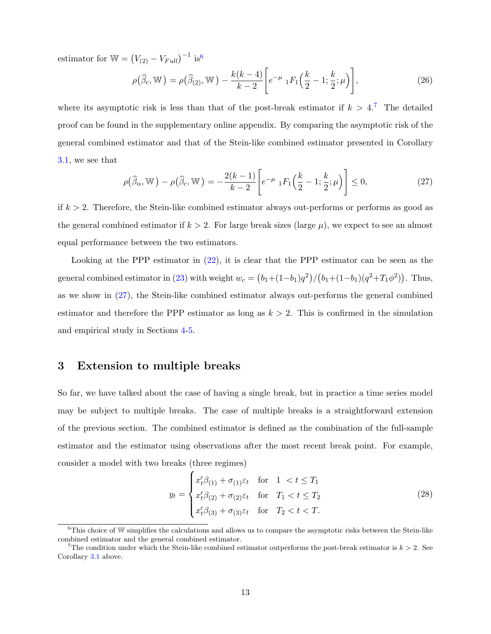estimator for  $\mathbb{W} = (V_{(2)} - V_{Full})^{-1}$  is<sup>[6](#page-13-1)</sup>

$$
\rho(\widehat{\beta}_c, \mathbb{W}) = \rho(\widehat{\beta}_{(2)}, \mathbb{W}) - \frac{k(k-4)}{k-2} \left[ e^{-\mu} {}_{1}F_1\left(\frac{k}{2} - 1; \frac{k}{2}; \mu\right) \right],\tag{26}
$$

where its asymptotic risk is less than that of the post-break estimator if  $k > 4$ .<sup>[7](#page-13-2)</sup> The detailed proof can be found in the supplementary online appendix. By comparing the asymptotic risk of the general combined estimator and that of the Stein-like combined estimator presented in Corollary [3.1,](#page-10-0) we see that

<span id="page-13-3"></span>
$$
\rho(\widehat{\beta}_{\alpha}, \mathbb{W}) - \rho(\widehat{\beta}_{c}, \mathbb{W}) = -\frac{2(k-1)}{k-2} \left[ e^{-\mu} {}_{1}F_{1}\left(\frac{k}{2} - 1; \frac{k}{2}; \mu\right) \right] \leq 0, \tag{27}
$$

if  $k > 2$ . Therefore, the Stein-like combined estimator always out-performs or performs as good as the general combined estimator if  $k > 2$ . For large break sizes (large  $\mu$ ), we expect to see an almost equal performance between the two estimators.

Looking at the PPP estimator in [\(22\)](#page-12-2), it is clear that the PPP estimator can be seen as the general combined estimator in [\(23\)](#page-12-1) with weight  $w_c = (b_1+(1-b_1)q^2)/(b_1+(1-b_1)(q^2+T_1\phi^2))$ . Thus, as we show in [\(27\)](#page-13-3), the Stein-like combined estimator always out-performs the general combined estimator and therefore the PPP estimator as long as  $k > 2$ . This is confirmed in the simulation and empirical study in Sections [4-](#page-15-0)[5.](#page-19-0)

### <span id="page-13-0"></span>3 Extension to multiple breaks

So far, we have talked about the case of having a single break, but in practice a time series model may be subject to multiple breaks. The case of multiple breaks is a straightforward extension of the previous section. The combined estimator is defined as the combination of the full-sample estimator and the estimator using observations after the most recent break point. For example, consider a model with two breaks (three regimes)

$$
y_t = \begin{cases} x_t'\beta_{(1)} + \sigma_{(1)}\varepsilon_t & \text{for} \quad 1 < t \le T_1 \\ x_t'\beta_{(2)} + \sigma_{(2)}\varepsilon_t & \text{for} \quad T_1 < t \le T_2 \\ x_t'\beta_{(3)} + \sigma_{(3)}\varepsilon_t & \text{for} \quad T_2 < t < T. \end{cases} \tag{28}
$$

<span id="page-13-1"></span> $6$ This choice of W simplifies the calculations and allows us to compare the asymptotic risks between the Stein-like combined estimator and the general combined estimator.

<span id="page-13-2"></span>The condition under which the Stein-like combined estimator outperforms the post-break estimator is  $k > 2$ . See Corollary [3.1](#page-10-0) above.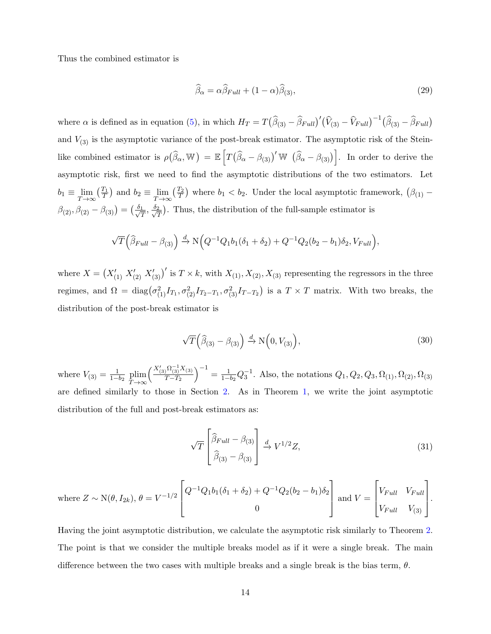Thus the combined estimator is

$$
\widehat{\beta}_{\alpha} = \alpha \widehat{\beta}_{Full} + (1 - \alpha) \widehat{\beta}_{(3)},\tag{29}
$$

where  $\alpha$  is defined as in equation [\(5\)](#page-4-0), in which  $H_T = T(\hat{\beta}_{(3)} - \hat{\beta}_{Full})'(\hat{V}_{(3)} - \hat{V}_{Full})^{-1}(\hat{\beta}_{(3)} - \hat{\beta}_{Full})$ and  $V_{(3)}$  is the asymptotic variance of the post-break estimator. The asymptotic risk of the Steinlike combined estimator is  $\rho(\widehat{\beta}_{\alpha}, \mathbb{W}) = \mathbb{E}\left[T(\widehat{\beta}_{\alpha} - \beta_{(3)})' \mathbb{W}(\widehat{\beta}_{\alpha} - \beta_{(3)})\right]$ . In order to derive the asymptotic risk, first we need to find the asymptotic distributions of the two estimators. Let  $b_1 \equiv \lim_{T \to \infty} \left(\frac{T_1}{T}\right)$  and  $b_2 \equiv \lim_{T \to \infty} \left(\frac{T_2}{T}\right)$  where  $b_1 < b_2$ . Under the local asymptotic framework,  $\left(\beta_{(1)} - \beta_{(2)}\right)$  $\beta_{(2)}, \beta_{(2)} - \beta_{(3)} = \left(\frac{\delta_1}{\sqrt{2}}\right)$  $\frac{1}{T}, \frac{\delta_2}{\sqrt{7}}$  $\frac{2}{T}$ ). Thus, the distribution of the full-sample estimator is

$$
\sqrt{T}\Big(\widehat{\beta}_{Full} - \beta_{(3)}\Big) \stackrel{d}{\rightarrow} \mathcal{N}\Big(Q^{-1}Q_1b_1(\delta_1 + \delta_2) + Q^{-1}Q_2(b_2 - b_1)\delta_2, V_{Full}\Big),
$$

where  $X = (X'_{(1)} X'_{(2)} X'_{(3)})'$  is  $T \times k$ , with  $X_{(1)}, X_{(2)}, X_{(3)}$  representing the regressors in the three regimes, and  $\Omega = \text{diag}(\sigma_{(1)}^2 I_{T_1}, \sigma_{(2)}^2 I_{T_2-T_1}, \sigma_{(3)}^2 I_{T-T_2})$  is a  $T \times T$  matrix. With two breaks, the distribution of the post-break estimator is

$$
\sqrt{T}\left(\widehat{\beta}_{(3)} - \beta_{(3)}\right) \xrightarrow{d} \mathcal{N}\left(0, V_{(3)}\right),\tag{30}
$$

where  $V_{(3)} = \frac{1}{1-b_2} \lim_{T \to \infty}$  $T\rightarrow\infty$  $\int \frac{X'_{(3)}\Omega_{(3)}^{-1}X_{(3)}}{X_{(3)}}$  $T - T_2$  $\bigg)^{-1} = \frac{1}{1-b_2} Q_3^{-1}$ . Also, the notations  $Q_1, Q_2, Q_3, \Omega_{(1)}, \Omega_{(2)}, \Omega_{(3)}$ are defined similarly to those in Section [2.](#page-3-0) As in Theorem [1,](#page-7-0) we write the joint asymptotic distribution of the full and post-break estimators as:

$$
\sqrt{T} \begin{bmatrix} \hat{\beta}_{Full} - \beta_{(3)} \\ \hat{\beta}_{(3)} - \beta_{(3)} \end{bmatrix} \xrightarrow{d} V^{1/2} Z,
$$
\n(31)

where 
$$
Z \sim N(\theta, I_{2k}), \theta = V^{-1/2} \begin{bmatrix} Q^{-1}Q_1b_1(\delta_1 + \delta_2) + Q^{-1}Q_2(b_2 - b_1)\delta_2 \\ 0 \end{bmatrix}
$$
 and  $V = \begin{bmatrix} V_{Full} & V_{Full} \\ V_{Full} & V_{(3)} \end{bmatrix}$ .

Having the joint asymptotic distribution, we calculate the asymptotic risk similarly to Theorem [2.](#page-8-2) The point is that we consider the multiple breaks model as if it were a single break. The main difference between the two cases with multiple breaks and a single break is the bias term,  $\theta$ .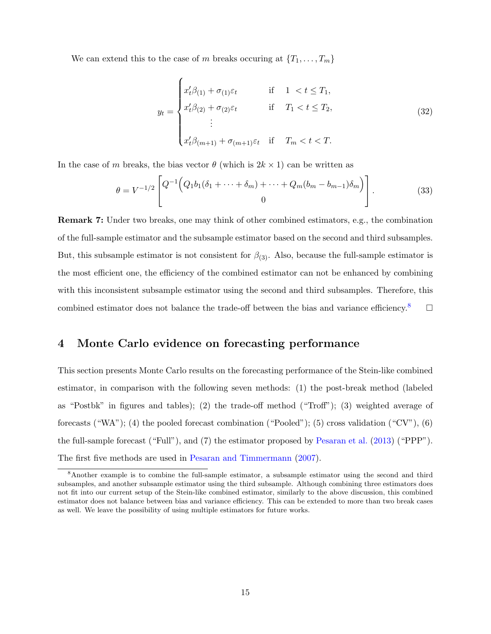We can extend this to the case of m breaks occuring at  $\{T_1, \ldots, T_m\}$ 

$$
y_t = \begin{cases} x_t'\beta_{(1)} + \sigma_{(1)}\varepsilon_t & \text{if } 1 < t \le T_1, \\ x_t'\beta_{(2)} + \sigma_{(2)}\varepsilon_t & \text{if } T_1 < t \le T_2, \\ \vdots & \vdots \\ x_t'\beta_{(m+1)} + \sigma_{(m+1)}\varepsilon_t & \text{if } T_m < t < T. \end{cases} \tag{32}
$$

In the case of m breaks, the bias vector  $\theta$  (which is  $2k \times 1$ ) can be written as

$$
\theta = V^{-1/2} \begin{bmatrix} Q^{-1} \Big( Q_1 b_1 (\delta_1 + \dots + \delta_m) + \dots + Q_m (b_m - b_{m-1}) \delta_m \Big) \\ 0 \end{bmatrix} . \tag{33}
$$

Remark 7: Under two breaks, one may think of other combined estimators, e.g., the combination of the full-sample estimator and the subsample estimator based on the second and third subsamples. But, this subsample estimator is not consistent for  $\beta_{(3)}$ . Also, because the full-sample estimator is the most efficient one, the efficiency of the combined estimator can not be enhanced by combining with this inconsistent subsample estimator using the second and third subsamples. Therefore, this combined estimator does not balance the trade-off between the bias and variance efficiency.<sup>[8](#page-15-1)</sup>  $\Box$ 

### <span id="page-15-0"></span>4 Monte Carlo evidence on forecasting performance

This section presents Monte Carlo results on the forecasting performance of the Stein-like combined estimator, in comparison with the following seven methods: (1) the post-break method (labeled as "Postbk" in figures and tables); (2) the trade-off method ("Troff"); (3) weighted average of forecasts ("WA"); (4) the pooled forecast combination ("Pooled"); (5) cross validation ("CV"), (6) the full-sample forecast ("Full"), and (7) the estimator proposed by [Pesaran et al.](#page-24-4) [\(2013\)](#page-24-4) ("PPP"). The first five methods are used in [Pesaran and Timmermann](#page-24-5) [\(2007\)](#page-24-5).

<span id="page-15-1"></span><sup>&</sup>lt;sup>8</sup>Another example is to combine the full-sample estimator, a subsample estimator using the second and third subsamples, and another subsample estimator using the third subsample. Although combining three estimators does not fit into our current setup of the Stein-like combined estimator, similarly to the above discussion, this combined estimator does not balance between bias and variance efficiency. This can be extended to more than two break cases as well. We leave the possibility of using multiple estimators for future works.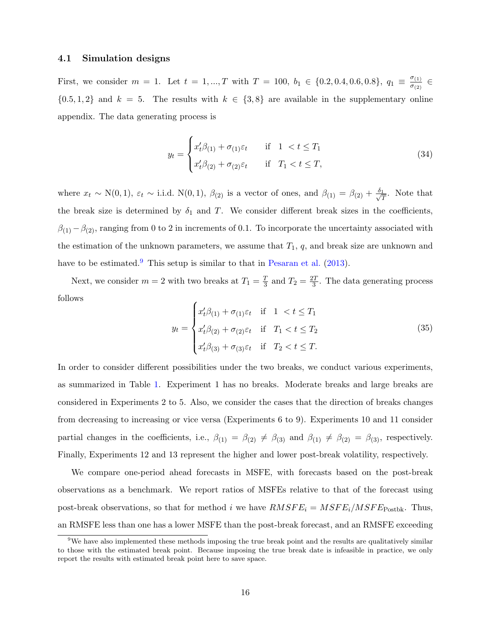#### 4.1 Simulation designs

First, we consider  $m = 1$ . Let  $t = 1, ..., T$  with  $T = 100, b_1 \in \{0.2, 0.4, 0.6, 0.8\}, q_1 \equiv \frac{\sigma_{(1)}}{\sigma_{(2)}}$  $\frac{\sigma_{(1)}}{\sigma_{(2)}} \in$  $\{0.5, 1, 2\}$  and  $k = 5$ . The results with  $k \in \{3, 8\}$  are available in the supplementary online appendix. The data generating process is

$$
y_t = \begin{cases} x_t'\beta_{(1)} + \sigma_{(1)}\varepsilon_t & \text{if } 1 < t \le T_1 \\ x_t'\beta_{(2)} + \sigma_{(2)}\varepsilon_t & \text{if } T_1 < t \le T, \end{cases}
$$
(34)

where  $x_t \sim N(0, 1)$ ,  $\varepsilon_t \sim$  i.i.d.  $N(0, 1)$ ,  $\beta_{(2)}$  is a vector of ones, and  $\beta_{(1)} = \beta_{(2)} + \frac{\delta_1}{\sqrt{2}}$  $\frac{1}{T}$ . Note that the break size is determined by  $\delta_1$  and T. We consider different break sizes in the coefficients,  $\beta_{(1)} - \beta_{(2)}$ , ranging from 0 to 2 in increments of 0.1. To incorporate the uncertainty associated with the estimation of the unknown parameters, we assume that  $T_1$ ,  $q$ , and break size are unknown and have to be estimated.<sup>[9](#page-16-0)</sup> This setup is similar to that in [Pesaran et al.](#page-24-4)  $(2013)$ .

Next, we consider  $m=2$  with two breaks at  $T_1=\frac{T_1}{3}$  $\frac{T}{3}$  and  $T_2 = \frac{2T}{3}$  $\frac{3T}{3}$ . The data generating process follows  $\epsilon$ 

$$
y_{t} = \begin{cases} x_{t}'\beta_{(1)} + \sigma_{(1)}\varepsilon_{t} & \text{if } 1 < t \leq T_{1} \\ x_{t}'\beta_{(2)} + \sigma_{(2)}\varepsilon_{t} & \text{if } T_{1} < t \leq T_{2} \\ x_{t}'\beta_{(3)} + \sigma_{(3)}\varepsilon_{t} & \text{if } T_{2} < t \leq T. \end{cases}
$$
(35)

In order to consider different possibilities under the two breaks, we conduct various experiments, as summarized in Table [1.](#page-32-0) Experiment 1 has no breaks. Moderate breaks and large breaks are considered in Experiments 2 to 5. Also, we consider the cases that the direction of breaks changes from decreasing to increasing or vice versa (Experiments 6 to 9). Experiments 10 and 11 consider partial changes in the coefficients, i.e.,  $\beta_{(1)} = \beta_{(2)} \neq \beta_{(3)}$  and  $\beta_{(1)} \neq \beta_{(2)} = \beta_{(3)}$ , respectively. Finally, Experiments 12 and 13 represent the higher and lower post-break volatility, respectively.

We compare one-period ahead forecasts in MSFE, with forecasts based on the post-break observations as a benchmark. We report ratios of MSFEs relative to that of the forecast using post-break observations, so that for method i we have  $RMSFE_i = MSE_i/MSFE_{Postbk}$ . Thus, an RMSFE less than one has a lower MSFE than the post-break forecast, and an RMSFE exceeding

<span id="page-16-0"></span> $9W$ e have also implemented these methods imposing the true break point and the results are qualitatively similar to those with the estimated break point. Because imposing the true break date is infeasible in practice, we only report the results with estimated break point here to save space.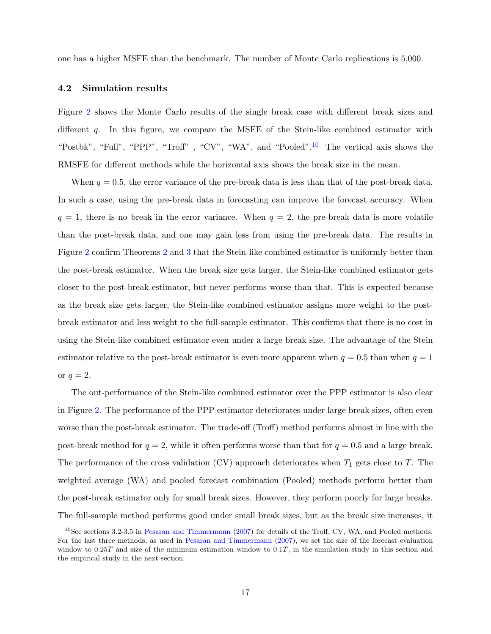one has a higher MSFE than the benchmark. The number of Monte Carlo replications is 5,000.

#### 4.2 Simulation results

Figure [2](#page-31-0) shows the Monte Carlo results of the single break case with different break sizes and different q. In this figure, we compare the MSFE of the Stein-like combined estimator with "Postbk", "Full", "PPP", "Troff" , "CV", "WA", and "Pooled".[10](#page-17-0) The vertical axis shows the RMSFE for different methods while the horizontal axis shows the break size in the mean.

When  $q = 0.5$ , the error variance of the pre-break data is less than that of the post-break data. In such a case, using the pre-break data in forecasting can improve the forecast accuracy. When  $q = 1$ , there is no break in the error variance. When  $q = 2$ , the pre-break data is more volatile than the post-break data, and one may gain less from using the pre-break data. The results in Figure [2](#page-31-0) confirm Theorems [2](#page-8-2) and [3](#page-9-0) that the Stein-like combined estimator is uniformly better than the post-break estimator. When the break size gets larger, the Stein-like combined estimator gets closer to the post-break estimator, but never performs worse than that. This is expected because as the break size gets larger, the Stein-like combined estimator assigns more weight to the postbreak estimator and less weight to the full-sample estimator. This confirms that there is no cost in using the Stein-like combined estimator even under a large break size. The advantage of the Stein estimator relative to the post-break estimator is even more apparent when  $q = 0.5$  than when  $q = 1$ or  $q=2$ .

The out-performance of the Stein-like combined estimator over the PPP estimator is also clear in Figure [2.](#page-31-0) The performance of the PPP estimator deteriorates under large break sizes, often even worse than the post-break estimator. The trade-off (Troff) method performs almost in line with the post-break method for  $q = 2$ , while it often performs worse than that for  $q = 0.5$  and a large break. The performance of the cross validation (CV) approach deteriorates when  $T_1$  gets close to T. The weighted average (WA) and pooled forecast combination (Pooled) methods perform better than the post-break estimator only for small break sizes. However, they perform poorly for large breaks. The full-sample method performs good under small break sizes, but as the break size increases, it

<span id="page-17-0"></span><sup>&</sup>lt;sup>10</sup>See sections 3.2-3.5 in [Pesaran and Timmermann](#page-24-5) [\(2007\)](#page-24-5) for details of the Troff, CV, WA, and Pooled methods. For the last three methods, as used in [Pesaran and Timmermann](#page-24-5) [\(2007\)](#page-24-5), we set the size of the forecast evaluation window to  $0.25T$  and size of the minimum estimation window to  $0.1T$ , in the simulation study in this section and the empirical study in the next section.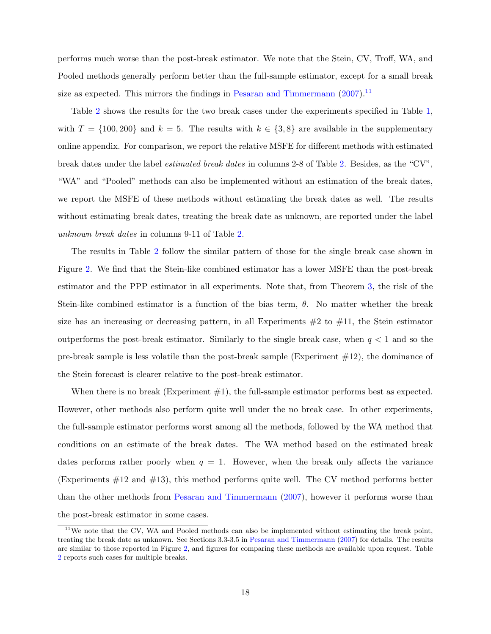performs much worse than the post-break estimator. We note that the Stein, CV, Troff, WA, and Pooled methods generally perform better than the full-sample estimator, except for a small break size as expected. This mirrors the findings in [Pesaran and Timmermann](#page-24-5)  $(2007)^{11}$  $(2007)^{11}$  $(2007)^{11}$  $(2007)^{11}$ 

Table [2](#page-33-0) shows the results for the two break cases under the experiments specified in Table [1,](#page-32-0) with  $T = \{100, 200\}$  and  $k = 5$ . The results with  $k \in \{3, 8\}$  are available in the supplementary online appendix. For comparison, we report the relative MSFE for different methods with estimated break dates under the label estimated break dates in columns 2-8 of Table [2.](#page-33-0) Besides, as the "CV", "WA" and "Pooled" methods can also be implemented without an estimation of the break dates, we report the MSFE of these methods without estimating the break dates as well. The results without estimating break dates, treating the break date as unknown, are reported under the label unknown break dates in columns 9-11 of Table [2.](#page-33-0)

The results in Table [2](#page-33-0) follow the similar pattern of those for the single break case shown in Figure [2.](#page-31-0) We find that the Stein-like combined estimator has a lower MSFE than the post-break estimator and the PPP estimator in all experiments. Note that, from Theorem [3,](#page-9-0) the risk of the Stein-like combined estimator is a function of the bias term,  $\theta$ . No matter whether the break size has an increasing or decreasing pattern, in all Experiments  $#2$  to  $#11$ , the Stein estimator outperforms the post-break estimator. Similarly to the single break case, when  $q < 1$  and so the pre-break sample is less volatile than the post-break sample (Experiment  $\#12$ ), the dominance of the Stein forecast is clearer relative to the post-break estimator.

When there is no break (Experiment  $\#1$ ), the full-sample estimator performs best as expected. However, other methods also perform quite well under the no break case. In other experiments, the full-sample estimator performs worst among all the methods, followed by the WA method that conditions on an estimate of the break dates. The WA method based on the estimated break dates performs rather poorly when  $q = 1$ . However, when the break only affects the variance (Experiments  $\#12$  and  $\#13$ ), this method performs quite well. The CV method performs better than the other methods from [Pesaran and Timmermann](#page-24-5) [\(2007\)](#page-24-5), however it performs worse than the post-break estimator in some cases.

<span id="page-18-0"></span><sup>&</sup>lt;sup>11</sup>We note that the CV, WA and Pooled methods can also be implemented without estimating the break point, treating the break date as unknown. See Sections 3.3-3.5 in [Pesaran and Timmermann](#page-24-5) [\(2007\)](#page-24-5) for details. The results are similar to those reported in Figure [2,](#page-31-0) and figures for comparing these methods are available upon request. Table [2](#page-33-0) reports such cases for multiple breaks.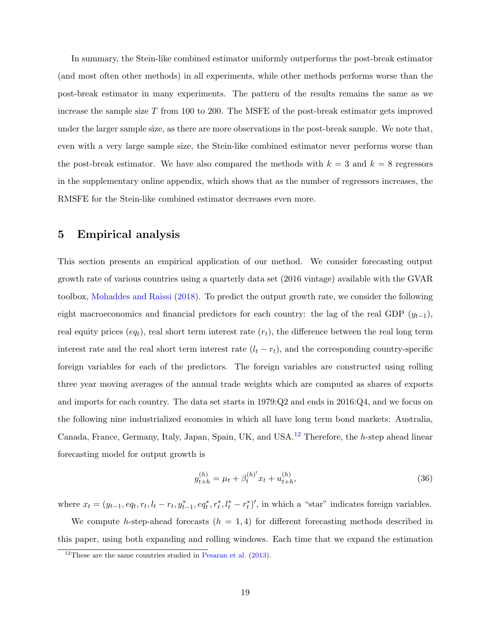In summary, the Stein-like combined estimator uniformly outperforms the post-break estimator (and most often other methods) in all experiments, while other methods performs worse than the post-break estimator in many experiments. The pattern of the results remains the same as we increase the sample size  $T$  from 100 to 200. The MSFE of the post-break estimator gets improved under the larger sample size, as there are more observations in the post-break sample. We note that, even with a very large sample size, the Stein-like combined estimator never performs worse than the post-break estimator. We have also compared the methods with  $k = 3$  and  $k = 8$  regressors in the supplementary online appendix, which shows that as the number of regressors increases, the RMSFE for the Stein-like combined estimator decreases even more.

### <span id="page-19-0"></span>5 Empirical analysis

This section presents an empirical application of our method. We consider forecasting output growth rate of various countries using a quarterly data set (2016 vintage) available with the GVAR toolbox, [Mohaddes and Raissi](#page-23-9) [\(2018\)](#page-23-9). To predict the output growth rate, we consider the following eight macroeconomics and financial predictors for each country: the lag of the real GDP  $(y_{t-1})$ , real equity prices  $(eq_t)$ , real short term interest rate  $(r_t)$ , the difference between the real long term interest rate and the real short term interest rate  $(l_t - r_t)$ , and the corresponding country-specific foreign variables for each of the predictors. The foreign variables are constructed using rolling three year moving averages of the annual trade weights which are computed as shares of exports and imports for each country. The data set starts in 1979:Q2 and ends in 2016:Q4, and we focus on the following nine industrialized economies in which all have long term bond markets: Australia, Canada, France, Germany, Italy, Japan, Spain, UK, and USA.[12](#page-19-1) Therefore, the h-step ahead linear forecasting model for output growth is

$$
y_{t+h}^{(h)} = \mu_t + \beta_t^{(h)'} x_t + u_{t+h}^{(h)},\tag{36}
$$

where  $x_t = (y_{t-1}, eq_t, r_t, l_t - r_t, y_{t-1}^*, eq_t^*, r_t^*, l_t^* - r_t^*)'$ , in which a "star" indicates foreign variables.

We compute h-step-ahead forecasts  $(h = 1, 4)$  for different forecasting methods described in this paper, using both expanding and rolling windows. Each time that we expand the estimation

<span id="page-19-1"></span> $12$ These are the same countries studied in [Pesaran et al.](#page-24-4) [\(2013\)](#page-24-4).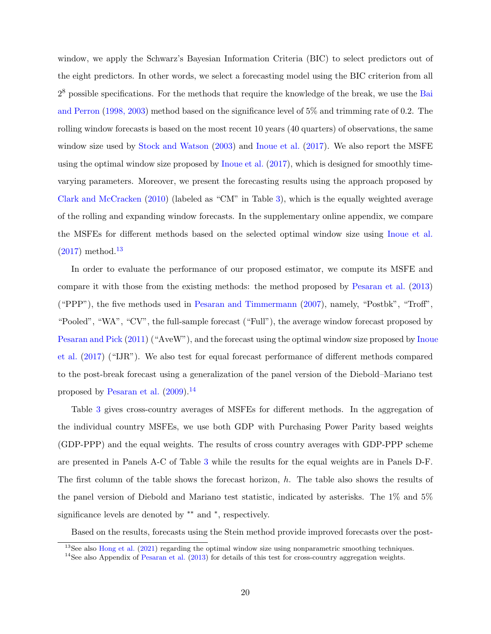window, we apply the Schwarz's Bayesian Information Criteria (BIC) to select predictors out of the eight predictors. In other words, we select a forecasting model using the BIC criterion from all  $2<sup>8</sup>$  possible specifications. For the methods that require the knowledge of the break, we use the [Bai](#page-22-4) [and Perron](#page-22-4) [\(1998, 2003\)](#page-22-4) method based on the significance level of 5% and trimming rate of 0.2. The rolling window forecasts is based on the most recent 10 years (40 quarters) of observations, the same window size used by [Stock and Watson](#page-24-8) [\(2003\)](#page-24-8) and [Inoue et al.](#page-23-2) [\(2017\)](#page-23-2). We also report the MSFE using the optimal window size proposed by [Inoue et al.](#page-23-2) [\(2017\)](#page-23-2), which is designed for smoothly timevarying parameters. Moreover, we present the forecasting results using the approach proposed by [Clark and McCracken](#page-22-8) [\(2010\)](#page-22-8) (labeled as "CM" in Table [3\)](#page-34-0), which is the equally weighted average of the rolling and expanding window forecasts. In the supplementary online appendix, we compare the MSFEs for different methods based on the selected optimal window size using [Inoue et al.](#page-23-2)  $(2017)$  method.<sup>[13](#page-20-0)</sup>

In order to evaluate the performance of our proposed estimator, we compute its MSFE and compare it with those from the existing methods: the method proposed by [Pesaran et al.](#page-24-4) [\(2013\)](#page-24-4) ("PPP"), the five methods used in [Pesaran and Timmermann](#page-24-5) [\(2007\)](#page-24-5), namely, "Postbk", "Troff", "Pooled", "WA", "CV", the full-sample forecast ("Full"), the average window forecast proposed by [Pesaran and Pick](#page-24-2) [\(2011\)](#page-24-2) ("AveW"), and the forecast using the optimal window size proposed by [Inou](#page-23-2)e [et al.](#page-23-2) [\(2017\)](#page-23-2) ("IJR"). We also test for equal forecast performance of different methods compared to the post-break forecast using a generalization of the panel version of the Diebold–Mariano test proposed by [Pesaran et al.](#page-24-9)  $(2009).<sup>14</sup>$  $(2009).<sup>14</sup>$  $(2009).<sup>14</sup>$  $(2009).<sup>14</sup>$ 

Table [3](#page-34-0) gives cross-country averages of MSFEs for different methods. In the aggregation of the individual country MSFEs, we use both GDP with Purchasing Power Parity based weights (GDP-PPP) and the equal weights. The results of cross country averages with GDP-PPP scheme are presented in Panels A-C of Table [3](#page-34-0) while the results for the equal weights are in Panels D-F. The first column of the table shows the forecast horizon, h. The table also shows the results of the panel version of Diebold and Mariano test statistic, indicated by asterisks. The 1% and 5% significance levels are denoted by \*\* and \*, respectively.

Based on the results, forecasts using the Stein method provide improved forecasts over the post-

<span id="page-20-0"></span> $13$ See also [Hong et al.](#page-23-10) [\(2021\)](#page-23-10) regarding the optimal window size using nonparametric smoothing techniques.

<span id="page-20-1"></span> $14$ See also Appendix of [Pesaran et al.](#page-24-4) [\(2013\)](#page-24-4) for details of this test for cross-country aggregation weights.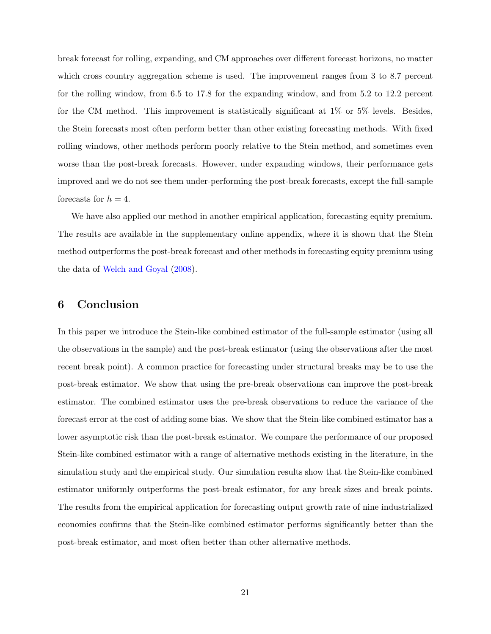break forecast for rolling, expanding, and CM approaches over different forecast horizons, no matter which cross country aggregation scheme is used. The improvement ranges from 3 to 8.7 percent for the rolling window, from 6.5 to 17.8 for the expanding window, and from 5.2 to 12.2 percent for the CM method. This improvement is statistically significant at 1% or 5% levels. Besides, the Stein forecasts most often perform better than other existing forecasting methods. With fixed rolling windows, other methods perform poorly relative to the Stein method, and sometimes even worse than the post-break forecasts. However, under expanding windows, their performance gets improved and we do not see them under-performing the post-break forecasts, except the full-sample forecasts for  $h = 4$ .

We have also applied our method in another empirical application, forecasting equity premium. The results are available in the supplementary online appendix, where it is shown that the Stein method outperforms the post-break forecast and other methods in forecasting equity premium using the data of [Welch and Goyal](#page-24-10) [\(2008\)](#page-24-10).

### <span id="page-21-0"></span>6 Conclusion

In this paper we introduce the Stein-like combined estimator of the full-sample estimator (using all the observations in the sample) and the post-break estimator (using the observations after the most recent break point). A common practice for forecasting under structural breaks may be to use the post-break estimator. We show that using the pre-break observations can improve the post-break estimator. The combined estimator uses the pre-break observations to reduce the variance of the forecast error at the cost of adding some bias. We show that the Stein-like combined estimator has a lower asymptotic risk than the post-break estimator. We compare the performance of our proposed Stein-like combined estimator with a range of alternative methods existing in the literature, in the simulation study and the empirical study. Our simulation results show that the Stein-like combined estimator uniformly outperforms the post-break estimator, for any break sizes and break points. The results from the empirical application for forecasting output growth rate of nine industrialized economies confirms that the Stein-like combined estimator performs significantly better than the post-break estimator, and most often better than other alternative methods.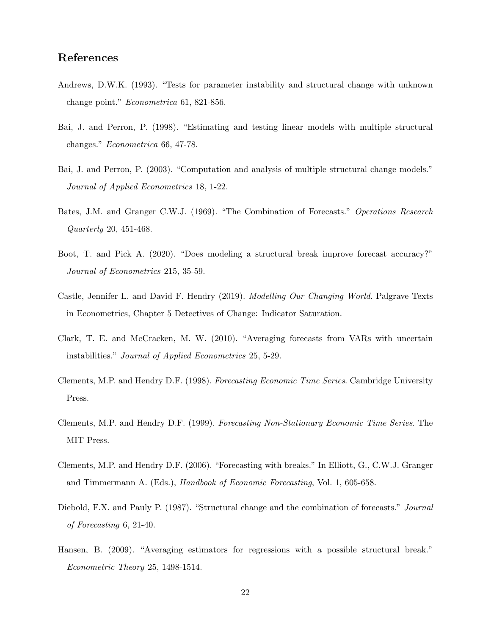### References

- <span id="page-22-5"></span>Andrews, D.W.K. (1993). "Tests for parameter instability and structural change with unknown change point." Econometrica 61, 821-856.
- <span id="page-22-4"></span>Bai, J. and Perron, P. (1998). "Estimating and testing linear models with multiple structural changes." Econometrica 66, 47-78.
- Bai, J. and Perron, P. (2003). "Computation and analysis of multiple structural change models." Journal of Applied Econometrics 18, 1-22.
- <span id="page-22-0"></span>Bates, J.M. and Granger C.W.J. (1969). "The Combination of Forecasts." Operations Research Quarterly 20, 451-468.
- <span id="page-22-7"></span>Boot, T. and Pick A. (2020). "Does modeling a structural break improve forecast accuracy?" Journal of Econometrics 215, 35-59.
- <span id="page-22-6"></span>Castle, Jennifer L. and David F. Hendry (2019). Modelling Our Changing World. Palgrave Texts in Econometrics, Chapter 5 Detectives of Change: Indicator Saturation.
- <span id="page-22-8"></span>Clark, T. E. and McCracken, M. W. (2010). "Averaging forecasts from VARs with uncertain instabilities." Journal of Applied Econometrics 25, 5-29.
- <span id="page-22-2"></span>Clements, M.P. and Hendry D.F. (1998). Forecasting Economic Time Series. Cambridge University Press.
- Clements, M.P. and Hendry D.F. (1999). Forecasting Non-Stationary Economic Time Series. The MIT Press.
- Clements, M.P. and Hendry D.F. (2006). "Forecasting with breaks." In Elliott, G., C.W.J. Granger and Timmermann A. (Eds.), Handbook of Economic Forecasting, Vol. 1, 605-658.
- <span id="page-22-1"></span>Diebold, F.X. and Pauly P. (1987). "Structural change and the combination of forecasts." Journal of Forecasting 6, 21-40.
- <span id="page-22-3"></span>Hansen, B. (2009). "Averaging estimators for regressions with a possible structural break." Econometric Theory 25, 1498-1514.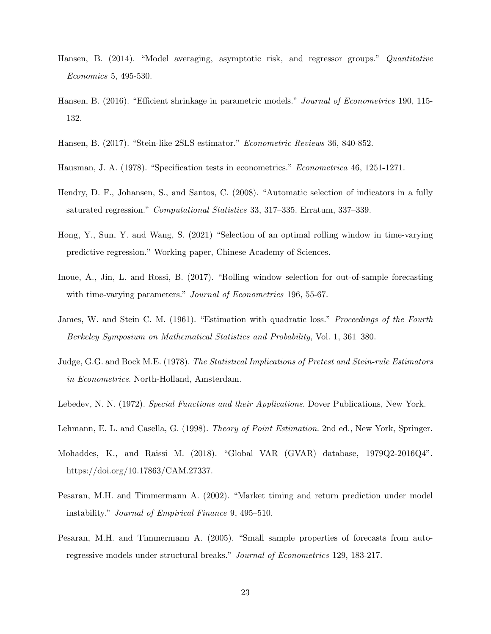- <span id="page-23-8"></span>Hansen, B. (2014). "Model averaging, asymptotic risk, and regressor groups." Quantitative Economics 5, 495-530.
- <span id="page-23-3"></span>Hansen, B. (2016). "Efficient shrinkage in parametric models." *Journal of Econometrics* 190, 115-132.
- <span id="page-23-4"></span>Hansen, B. (2017). "Stein-like 2SLS estimator." Econometric Reviews 36, 840-852.
- <span id="page-23-6"></span>Hausman, J. A. (1978). "Specification tests in econometrics." Econometrica 46, 1251-1271.
- <span id="page-23-5"></span>Hendry, D. F., Johansen, S., and Santos, C. (2008). "Automatic selection of indicators in a fully saturated regression." Computational Statistics 33, 317–335. Erratum, 337–339.
- <span id="page-23-10"></span>Hong, Y., Sun, Y. and Wang, S. (2021) "Selection of an optimal rolling window in time-varying predictive regression." Working paper, Chinese Academy of Sciences.
- <span id="page-23-2"></span>Inoue, A., Jin, L. and Rossi, B. (2017). "Rolling window selection for out-of-sample forecasting with time-varying parameters." Journal of Econometrics 196, 55-67.
- <span id="page-23-1"></span>James, W. and Stein C. M. (1961). "Estimation with quadratic loss." *Proceedings of the Fourth* Berkeley Symposium on Mathematical Statistics and Probability, Vol. 1, 361–380.
- <span id="page-23-12"></span>Judge, G.G. and Bock M.E. (1978). The Statistical Implications of Pretest and Stein-rule Estimators in Econometrics. North-Holland, Amsterdam.
- <span id="page-23-11"></span>Lebedev, N. N. (1972). Special Functions and their Applications. Dover Publications, New York.
- <span id="page-23-7"></span>Lehmann, E. L. and Casella, G. (1998). *Theory of Point Estimation*. 2nd ed., New York, Springer.
- <span id="page-23-9"></span>Mohaddes, K., and Raissi M. (2018). "Global VAR (GVAR) database, 1979Q2-2016Q4". [https://doi.org/10.17863/CAM.27337.](https://doi.org/10.17863/CAM.27337)
- <span id="page-23-0"></span>Pesaran, M.H. and Timmermann A. (2002). "Market timing and return prediction under model instability." Journal of Empirical Finance 9, 495–510.
- Pesaran, M.H. and Timmermann A. (2005). "Small sample properties of forecasts from autoregressive models under structural breaks." Journal of Econometrics 129, 183-217.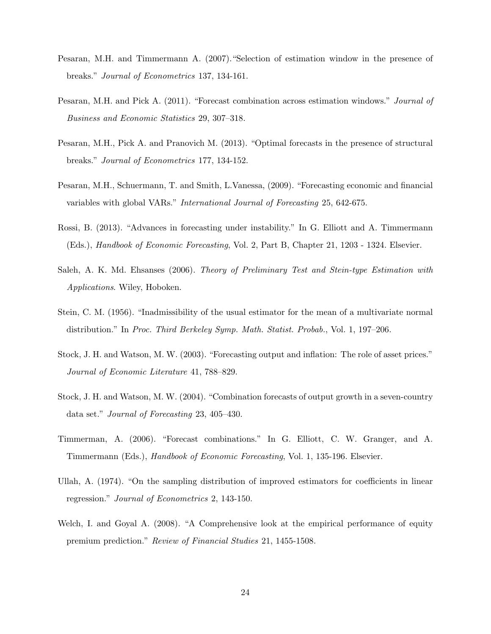- <span id="page-24-5"></span>Pesaran, M.H. and Timmermann A. (2007)."Selection of estimation window in the presence of breaks." Journal of Econometrics 137, 134-161.
- <span id="page-24-2"></span>Pesaran, M.H. and Pick A. (2011). "Forecast combination across estimation windows." Journal of Business and Economic Statistics 29, 307–318.
- <span id="page-24-4"></span>Pesaran, M.H., Pick A. and Pranovich M. (2013). "Optimal forecasts in the presence of structural breaks." Journal of Econometrics 177, 134-152.
- <span id="page-24-9"></span>Pesaran, M.H., Schuermann, T. and Smith, L.Vanessa, (2009). "Forecasting economic and financial variables with global VARs." International Journal of Forecasting 25, 642-675.
- <span id="page-24-3"></span>Rossi, B. (2013). "Advances in forecasting under instability." In G. Elliott and A. Timmermann (Eds.), Handbook of Economic Forecasting, Vol. 2, Part B, Chapter 21, 1203 - 1324. Elsevier.
- <span id="page-24-7"></span>Saleh, A. K. Md. Ehsanses (2006). Theory of Preliminary Test and Stein-type Estimation with Applications. Wiley, Hoboken.
- <span id="page-24-6"></span>Stein, C. M. (1956). "Inadmissibility of the usual estimator for the mean of a multivariate normal distribution." In Proc. Third Berkeley Symp. Math. Statist. Probab., Vol. 1, 197–206.
- <span id="page-24-8"></span>Stock, J. H. and Watson, M. W. (2003). "Forecasting output and inflation: The role of asset prices." Journal of Economic Literature 41, 788–829.
- <span id="page-24-0"></span>Stock, J. H. and Watson, M. W. (2004). "Combination forecasts of output growth in a seven-country data set." Journal of Forecasting 23, 405–430.
- <span id="page-24-1"></span>Timmerman, A. (2006). "Forecast combinations." In G. Elliott, C. W. Granger, and A. Timmermann (Eds.), Handbook of Economic Forecasting, Vol. 1, 135-196. Elsevier.
- <span id="page-24-11"></span>Ullah, A. (1974). "On the sampling distribution of improved estimators for coefficients in linear regression." Journal of Econometrics 2, 143-150.
- <span id="page-24-10"></span>Welch, I. and Goyal A. (2008). "A Comprehensive look at the empirical performance of equity premium prediction." Review of Financial Studies 21, 1455-1508.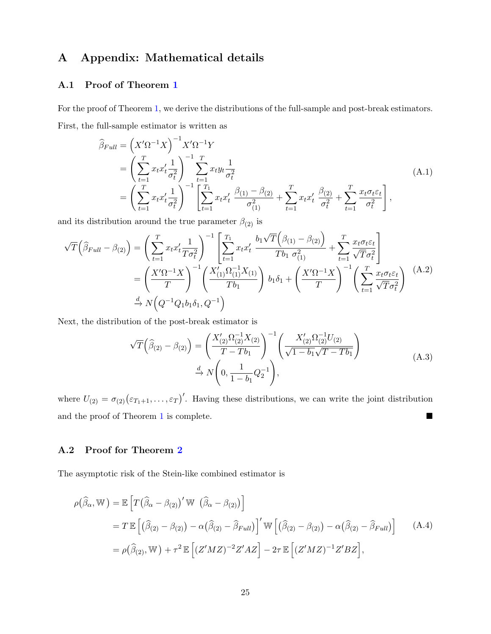## A Appendix: Mathematical details

### <span id="page-25-0"></span>A.1 Proof of Theorem [1](#page-7-0)

For the proof of Theorem [1,](#page-7-0) we derive the distributions of the full-sample and post-break estimators.

First, the full-sample estimator is written as

$$
\widehat{\beta}_{Full} = \left(X'\Omega^{-1}X\right)^{-1} X'\Omega^{-1}Y \n= \left(\sum_{t=1}^{T} x_t x_t' \frac{1}{\sigma_t^2}\right)^{-1} \sum_{t=1}^{T} x_t y_t \frac{1}{\sigma_t^2} \n= \left(\sum_{t=1}^{T} x_t x_t' \frac{1}{\sigma_t^2}\right)^{-1} \left[\sum_{t=1}^{T_1} x_t x_t' \frac{\beta_{(1)} - \beta_{(2)}}{\sigma_{(1)}^2} + \sum_{t=1}^{T} x_t x_t' \frac{\beta_{(2)}}{\sigma_t^2} + \sum_{t=1}^{T} \frac{x_t \sigma_t \varepsilon_t}{\sigma_t^2}\right],
$$
\n(A.1)

and its distribution around the true parameter  $\beta_{(2)}$  is

$$
\sqrt{T}\left(\widehat{\beta}_{Full} - \beta_{(2)}\right) = \left(\sum_{t=1}^{T} x_t x_t' \frac{1}{T\sigma_t^2}\right)^{-1} \left[\sum_{t=1}^{T_1} x_t x_t' \frac{b_1 \sqrt{T}\left(\beta_{(1)} - \beta_{(2)}\right)}{Tb_1 \sigma_{(1)}^2} + \sum_{t=1}^{T} \frac{x_t \sigma_t \varepsilon_t}{\sqrt{T\sigma_t^2}}\right]
$$

$$
= \left(\frac{X'\Omega^{-1}X}{T}\right)^{-1} \left(\frac{X'_{(1)}\Omega_{(1)}^{-1}X_{(1)}}{Tb_1}\right) b_1 \delta_1 + \left(\frac{X'\Omega^{-1}X}{T}\right)^{-1} \left(\sum_{t=1}^{T} \frac{x_t \sigma_t \varepsilon_t}{\sqrt{T\sigma_t^2}}\right) \stackrel{(A.2)}{\rightarrow} N\left(Q^{-1}Q_1 b_1 \delta_1, Q^{-1}\right)
$$

Next, the distribution of the post-break estimator is

$$
\sqrt{T}\left(\widehat{\beta}_{(2)} - \beta_{(2)}\right) = \left(\frac{X'_{(2)}\Omega_{(2)}^{-1}X_{(2)}}{T - Tb_1}\right)^{-1} \left(\frac{X'_{(2)}\Omega_{(2)}^{-1}U_{(2)}}{\sqrt{1 - b_1}\sqrt{T - Tb_1}}\right)
$$
\n
$$
\xrightarrow{d} N\left(0, \frac{1}{1 - b_1}Q_2^{-1}\right),\tag{A.3}
$$

where  $U_{(2)} = \sigma_{(2)}(\varepsilon_{T_1+1},\ldots,\varepsilon_T)'$ . Having these distributions, we can write the joint distribution and the proof of Theorem [1](#page-7-0) is complete.

### <span id="page-25-1"></span>A.2 Proof for Theorem [2](#page-8-2)

The asymptotic risk of the Stein-like combined estimator is

<span id="page-25-2"></span>
$$
\rho(\widehat{\beta}_{\alpha}, \mathbb{W}) = \mathbb{E}\left[T(\widehat{\beta}_{\alpha} - \beta_{(2)})' \mathbb{W}(\widehat{\beta}_{\alpha} - \beta_{(2)})\right]
$$
  
\n
$$
= T \mathbb{E}\left[(\widehat{\beta}_{(2)} - \beta_{(2)}) - \alpha(\widehat{\beta}_{(2)} - \widehat{\beta}_{Full})'\right]'\mathbb{W}\left[(\widehat{\beta}_{(2)} - \beta_{(2)}) - \alpha(\widehat{\beta}_{(2)} - \widehat{\beta}_{Full})\right]
$$
(A.4)  
\n
$$
= \rho(\widehat{\beta}_{(2)}, \mathbb{W}) + \tau^{2} \mathbb{E}\left[(Z'MZ)^{-2}Z'AZ\right] - 2\tau \mathbb{E}\left[(Z'MZ)^{-1}Z'BZ\right],
$$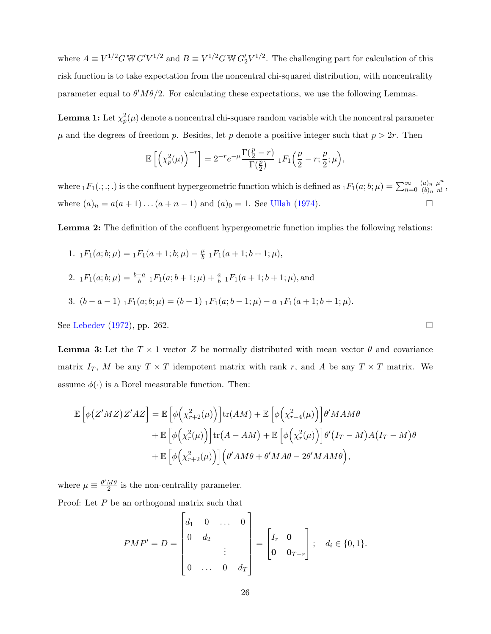where  $A \equiv V^{1/2} G \mathbb{W} G' V^{1/2}$  and  $B \equiv V^{1/2} G \mathbb{W} G'_{2} V^{1/2}$ . The challenging part for calculation of this risk function is to take expectation from the noncentral chi-squared distribution, with noncentrality parameter equal to  $\theta' M \theta / 2$ . For calculating these expectations, we use the following Lemmas.

<span id="page-26-1"></span>**Lemma 1:** Let  $\chi_p^2(\mu)$  denote a noncentral chi-square random variable with the noncentral parameter  $\mu$  and the degrees of freedom p. Besides, let p denote a positive integer such that  $p > 2r$ . Then

$$
\mathbb{E}\left[\left(\chi_p^2(\mu)\right)^{-r}\right]=2^{-r}e^{-\mu}\frac{\Gamma(\frac{p}{2}-r)}{\Gamma(\frac{p}{2})}\;{_1F_1}\Big(\frac{p}{2}-r;\frac{p}{2};\mu\Big),
$$

where  $_1F_1(.;.;.)$  is the confluent hypergeometric function which is defined as  $_1F_1(a;b;\mu) = \sum_{n=0}^{\infty}$  $(a)_n$   $\mu^n$  $\frac{(a)_n}{(b)_n} \frac{\mu^n}{n!},$ where  $(a)_n = a(a + 1)...(a + n - 1)$  and  $(a)_0 = 1$ . See [Ullah](#page-24-11) [\(1974\)](#page-24-11).

<span id="page-26-2"></span>Lemma 2: The definition of the confluent hypergeometric function implies the following relations:

1. 
$$
{}_{1}F_{1}(a; b; \mu) = {}_{1}F_{1}(a + 1; b; \mu) - \frac{\mu}{b} {}_{1}F_{1}(a + 1; b + 1; \mu),
$$
  
\n2.  ${}_{1}F_{1}(a; b; \mu) = \frac{b-a}{b} {}_{1}F_{1}(a; b + 1; \mu) + \frac{a}{b} {}_{1}F_{1}(a + 1; b + 1; \mu),$  and  
\n3.  $(b - a - 1) {}_{1}F_{1}(a; b; \mu) = (b - 1) {}_{1}F_{1}(a; b - 1; \mu) - a {}_{1}F_{1}(a + 1; b + 1; \mu).$ 

See [Lebedev](#page-23-11) [\(1972\)](#page-23-11), pp. 262.

<span id="page-26-0"></span>**Lemma 3:** Let the  $T \times 1$  vector Z be normally distributed with mean vector  $\theta$  and covariance matrix  $I_T$ , M be any  $T \times T$  idempotent matrix with rank r, and A be any  $T \times T$  matrix. We assume  $\phi(\cdot)$  is a Borel measurable function. Then:

$$
\mathbb{E}\left[\phi(Z'MZ)Z'AZ\right] = \mathbb{E}\left[\phi\left(\chi_{r+2}^2(\mu)\right)\right] \text{tr}(AM) + \mathbb{E}\left[\phi\left(\chi_{r+4}^2(\mu)\right)\right] \theta'MAM\theta \n+ \mathbb{E}\left[\phi\left(\chi_r^2(\mu)\right)\right] \text{tr}(A - AM) + \mathbb{E}\left[\phi\left(\chi_r^2(\mu)\right)\right] \theta'(I_T - M)A(I_T - M)\theta \n+ \mathbb{E}\left[\phi\left(\chi_{r+2}^2(\mu)\right)\right] \left(\theta'AM\theta + \theta'MA\theta - 2\theta'MAM\theta\right),
$$

where  $\mu \equiv \frac{\theta' M \theta}{2}$  $\frac{M\theta}{2}$  is the non-centrality parameter. Proof: Let P be an orthogonal matrix such that

$$
PMP' = D = \begin{bmatrix} d_1 & 0 & \dots & 0 \\ 0 & d_2 & & \\ & & \vdots & \\ 0 & \dots & 0 & d_T \end{bmatrix} = \begin{bmatrix} I_r & \mathbf{0} \\ \mathbf{0} & \mathbf{0}_{T-r} \end{bmatrix}; \quad d_i \in \{0, 1\}.
$$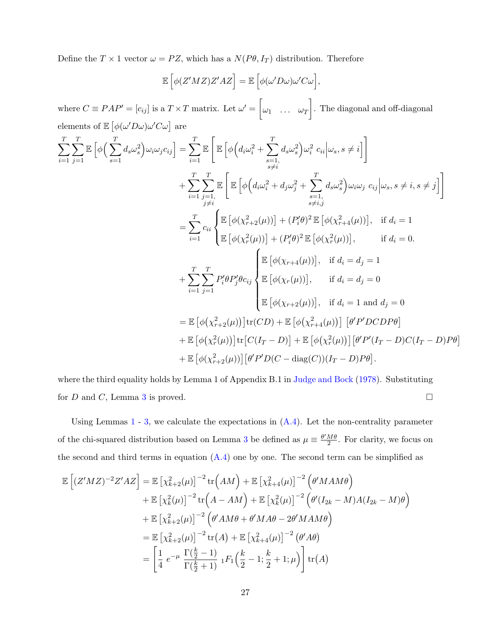Define the  $T \times 1$  vector  $\omega = PZ$ , which has a  $N(P\theta, I_T)$  distribution. Therefore

$$
\mathbb{E}\left[\phi(Z'MZ)Z'AZ\right]=\mathbb{E}\left[\phi(\omega'D\omega)\omega'C\omega\right],
$$

where  $C \equiv PAP' = [c_{ij}]$  is a  $T \times T$  matrix. Let  $\omega' = \begin{bmatrix} 1 & 0 \\ 0 & 1 \end{bmatrix}$  $\omega_1$  ...  $\omega_T$  . The diagonal and off-diagonal elements of  $\mathbb{E} \left[ \phi(\omega' D\omega) \omega' C\omega \right]$  are

$$
\sum_{i=1}^{T} \sum_{j=1}^{T} \mathbb{E} \left[ \phi \left( \sum_{s=1}^{T} d_s \omega_s^2 \right) \omega_i \omega_j c_{ij} \right] = \sum_{i=1}^{T} \mathbb{E} \left[ \mathbb{E} \left[ \phi \left( d_i \omega_i^2 + \sum_{\substack{s=1, \\ s \neq i}}^{T} d_s \omega_s^2 \right) \omega_i^2 c_{ii} \Big| \omega_s, s \neq i \right] \right] \n+ \sum_{i=1}^{T} \sum_{\substack{j=1, \\ j \neq i}}^{T} \mathbb{E} \left[ \mathbb{E} \left[ \phi \left( d_i \omega_i^2 + d_j \omega_j^2 + \sum_{\substack{s=1, \\ s \neq i,j}}^{T} d_s \omega_s^2 \right) \omega_i \omega_j c_{ij} \Big| \omega_s, s \neq i, s \neq j \right] \right] \n= \sum_{i=1}^{T} c_{ii} \left\{ \mathbb{E} \left[ \phi(\chi_{r+2}^2(\mu)) \right] + (P_i^{\prime} \theta)^2 \mathbb{E} \left[ \phi(\chi_{r+4}^2(\mu)) \right], \text{ if } d_i = 1 \n+ \sum_{i=1}^{T} \sum_{j=1}^{T} P_i^{\prime} \theta P_j^{\prime} \theta c_{ij} \right\} \left[ \mathbb{E} \left[ \phi(\chi_{r+4}(\mu)) \right], \text{ if } d_i = d_j = 1 \n+ \sum_{i=1}^{T} \sum_{j=1}^{T} P_i^{\prime} \theta P_j^{\prime} \theta c_{ij} \right\} \left[ \mathbb{E} \left[ \phi(\chi_{r+4}(\mu)) \right], \text{ if } d_i = d_j = 0 \n= \mathbb{E} \left[ \phi(\chi_{r+2}^2(\mu)) \right] \text{tr}(CD) + \mathbb{E} \left[ \phi(\chi_{r+4}^2(\mu)) \right] \left[ \theta' P' D C D P \theta \right] \n+ \mathbb{E} \left[ \phi(\chi_{r+2}^2(\mu)) \right] \text{tr}(C(I_T - D)) + \mathbb{E} \left[ \phi(\chi_{r+4}^2(\mu)) \right] \left[ \theta' P'(I_T - D) C (I_T - D) P \theta \right] \
$$

where the third equality holds by Lemma 1 of Appendix B.1 in [Judge and Bock](#page-23-12) [\(1978\)](#page-23-12). Substituting for D and C, Lemma [3](#page-26-0) is proved.  $\square$ 

Using Lemmas  $1 - 3$  $1 - 3$ , we calculate the expectations in  $(A.4)$ . Let the non-centrality parameter of the chi-squared distribution based on Lemma [3](#page-26-0) be defined as  $\mu \equiv \frac{\theta' M \theta}{2}$  $\frac{M\theta}{2}$ . For clarity, we focus on the second and third terms in equation  $(A.4)$  one by one. The second term can be simplified as

$$
\mathbb{E}\left[ (Z'MZ)^{-2}Z'AZ \right] = \mathbb{E}\left[ \chi_{k+2}^2(\mu) \right]^{-2} \text{tr}\left(AM\right) + \mathbb{E}\left[ \chi_{k+4}^2(\mu) \right]^{-2} \left( \theta'MAM\theta \right) \n+ \mathbb{E}\left[ \chi_k^2(\mu) \right]^{-2} \text{tr}\left( A - AM \right) + \mathbb{E}\left[ \chi_k^2(\mu) \right]^{-2} \left( \theta'(I_{2k} - M)A(I_{2k} - M)\theta \right) \n+ \mathbb{E}\left[ \chi_{k+2}^2(\mu) \right]^{-2} \left( \theta'MM\theta + \theta'MA\theta - 2\theta'MAM\theta \right) \n= \mathbb{E}\left[ \chi_{k+2}^2(\mu) \right]^{-2} \text{tr}(A) + \mathbb{E}\left[ \chi_{k+4}^2(\mu) \right]^{-2} \left( \theta'A\theta \right) \n= \left[ \frac{1}{4} e^{-\mu} \frac{\Gamma(\frac{k}{2} - 1)}{\Gamma(\frac{k}{2} + 1)} {}_1F_1\left( \frac{k}{2} - 1; \frac{k}{2} + 1; \mu \right) \right] \text{tr}(A)
$$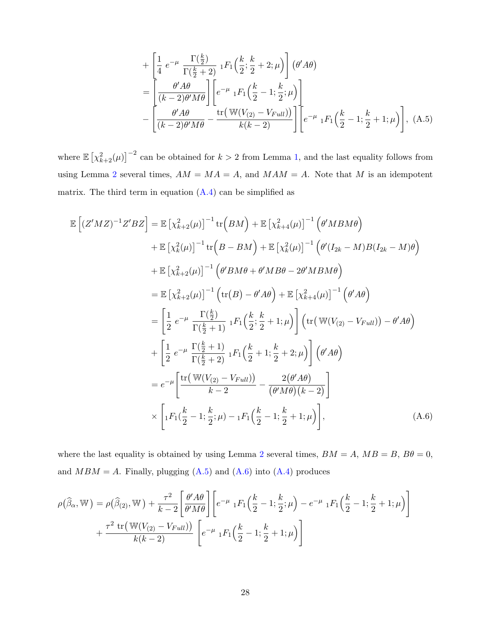<span id="page-28-0"></span>
$$
+\left[\frac{1}{4}e^{-\mu}\frac{\Gamma(\frac{k}{2})}{\Gamma(\frac{k}{2}+2)} {}_{1}F_{1}\left(\frac{k}{2};\frac{k}{2}+2;\mu\right)\right] (\theta' A\theta)
$$
  
=\left[\frac{\theta' A\theta}{(k-2)\theta' M\theta}\right] \left[e^{-\mu} {}\_{1}F\_{1}\left(\frac{k}{2}-1;\frac{k}{2};\mu\right)\right]  
-\left[\frac{\theta' A\theta}{(k-2)\theta' M\theta} - \frac{\text{tr}\left(\mathbb{W}(V\_{(2)} - V\_{Full})\right)}{k(k-2)}\right] \left[e^{-\mu} {}\_{1}F\_{1}\left(\frac{k}{2}-1;\frac{k}{2}+1;\mu\right)\right], (A.5)

where  $\mathbb{E} \left[ \chi_{k+2}^2(\mu) \right]^{-2}$  can be obtained for  $k > 2$  from Lemma [1,](#page-26-1) and the last equality follows from using Lemma [2](#page-26-2) several times,  $AM = MA = A$ , and  $MAM = A$ . Note that M is an idempotent matrix. The third term in equation  $(A.4)$  can be simplified as

$$
\mathbb{E}\left[(Z'MZ)^{-1}Z'BZ\right] = \mathbb{E}\left[\chi_{k+2}^{2}(\mu)\right]^{-1} \text{tr}\left(BM\right) + \mathbb{E}\left[\chi_{k+4}^{2}(\mu)\right]^{-1} \left(\theta'MBM\theta\right) \n+ \mathbb{E}\left[\chi_{k}^{2}(\mu)\right]^{-1} \text{tr}\left(B - BM\right) + \mathbb{E}\left[\chi_{k}^{2}(\mu)\right]^{-1} \left(\theta'(I_{2k} - M)B(I_{2k} - M)\theta\right) \n+ \mathbb{E}\left[\chi_{k+2}^{2}(\mu)\right]^{-1} \left(\theta'BM\theta + \theta'MB\theta - 2\theta'MBM\theta\right) \n= \mathbb{E}\left[\chi_{k+2}^{2}(\mu)\right]^{-1} \left(\text{tr}\left(B\right) - \theta'A\theta\right) + \mathbb{E}\left[\chi_{k+4}^{2}(\mu)\right]^{-1} \left(\theta'A\theta\right) \n= \left[\frac{1}{2} e^{-\mu} \frac{\Gamma(\frac{k}{2})}{\Gamma(\frac{k}{2}+1)} {}_{1}F_{1}\left(\frac{k}{2}; \frac{k}{2}+1; \mu\right)\right] \left(\text{tr}\left(\mathbb{W}(V_{(2)} - V_{Full})\right) - \theta'A\theta\right) \n+ \left[\frac{1}{2} e^{-\mu} \frac{\Gamma(\frac{k}{2}+1)}{\Gamma(\frac{k}{2}+2)} {}_{1}F_{1}\left(\frac{k}{2}+1; \frac{k}{2}+2; \mu\right)\right] \left(\theta'A\theta\right) \n= e^{-\mu} \left[\frac{\text{tr}\left(\mathbb{W}(V_{(2)} - V_{Full})\right)}{k-2} - \frac{2(\theta'A\theta)}{(\theta'M\theta)(k-2)}\right] \n\times \left[{}_{1}F_{1}\left(\frac{k}{2}-1; \frac{k}{2}; \mu\right) - {}_{1}F_{1}\left(\frac{k}{2}-1; \frac{k}{2}+1; \mu\right)\right], \tag{A.6}
$$

<span id="page-28-1"></span>where the last equality is obtained by using Lemma [2](#page-26-2) several times,  $BM = A$ ,  $MB = B$ ,  $B\theta = 0$ , and  $MBM = A$ . Finally, plugging  $(A.5)$  and  $(A.6)$  into  $(A.4)$  produces

$$
\rho(\widehat{\beta}_{\alpha}, \mathbb{W}) = \rho(\widehat{\beta}_{(2)}, \mathbb{W}) + \frac{\tau^2}{k-2} \left[ \frac{\theta' A \theta}{\theta' M \theta} \right] \left[ e^{-\mu} {}_{1}F_{1} \left( \frac{k}{2} - 1; \frac{k}{2}; \mu \right) - e^{-\mu} {}_{1}F_{1} \left( \frac{k}{2} - 1; \frac{k}{2} + 1; \mu \right) \right] + \frac{\tau^2 \text{ tr}(\mathbb{W}(V_{(2)} - V_{Full}))}{k(k-2)} \left[ e^{-\mu} {}_{1}F_{1} \left( \frac{k}{2} - 1; \frac{k}{2} + 1; \mu \right) \right]
$$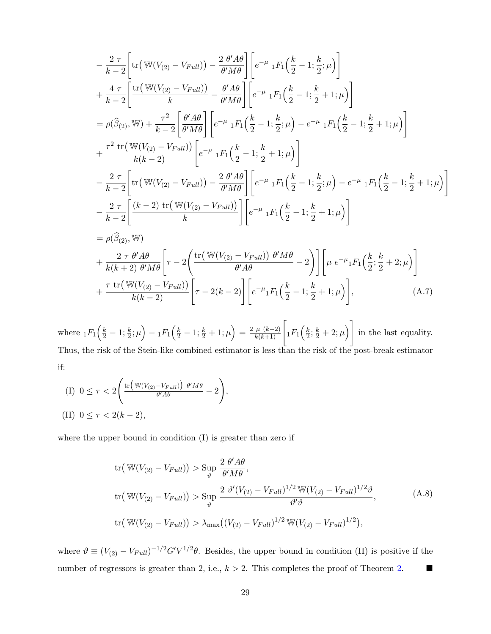$$
-\frac{2 \tau}{k-2} \left[ \text{tr}(\mathbb{W}(V_{(2)} - V_{Full})) - \frac{2 \theta' A \theta}{\theta' M \theta} \right] \left[ e^{-\mu} {}_{1}F_{1} \left( \frac{k}{2} - 1; \frac{k}{2}; \mu \right) \right] + \frac{4 \tau}{k-2} \left[ \frac{\text{tr}(\mathbb{W}(V_{(2)} - V_{Full}))}{k} - \frac{\theta' A \theta}{\theta' M \theta} \right] \left[ e^{-\mu} {}_{1}F_{1} \left( \frac{k}{2} - 1; \frac{k}{2} + 1; \mu \right) \right] = \rho(\widehat{\beta}_{(2)}, \mathbb{W}) + \frac{\tau^{2}}{k-2} \left[ \frac{\theta' A \theta}{\theta' M \theta} \right] \left[ e^{-\mu} {}_{1}F_{1} \left( \frac{k}{2} - 1; \frac{k}{2}; \mu \right) - e^{-\mu} {}_{1}F_{1} \left( \frac{k}{2} - 1; \frac{k}{2} + 1; \mu \right) \right] + \frac{\tau^{2} \text{ tr}(\mathbb{W}(V_{(2)} - V_{Full}))}{k(k-2)} \left[ e^{-\mu} {}_{1}F_{1} \left( \frac{k}{2} - 1; \frac{k}{2} + 1; \mu \right) \right] - \frac{2 \tau}{k-2} \left[ \text{tr}(\mathbb{W}(V_{(2)} - V_{Full})) - \frac{2 \theta' A \theta}{\theta' M \theta} \right] \left[ e^{-\mu} {}_{1}F_{1} \left( \frac{k}{2} - 1; \frac{k}{2}; \mu \right) - e^{-\mu} {}_{1}F_{1} \left( \frac{k}{2} - 1; \frac{k}{2} + 1; \mu \right) \right] - \frac{2 \tau}{k-2} \left[ \frac{(k-2) \text{ tr}(\mathbb{W}(V_{(2)} - V_{Full}))}{k} \right] \left[ e^{-\mu} {}_{1}F_{1} \left( \frac{k}{2} - 1; \frac{k}{2} + 1; \mu \right) \right] = \rho(\widehat{\beta}_{(2)}, \mathbb{W}) + \frac{2 \tau \theta' A \theta}{k(k+2) \theta' M \theta} \left[ \tau - 2 \left( \frac{\text{tr}(\mathbb{W}(V_{(2)} - V_{Full}))
$$

where  ${}_1F_1\left(\frac{k}{2}-1;\frac{k}{2};\mu\right) - {}_1F_1\left(\frac{k}{2}-1;\frac{k}{2}+1;\mu\right) = \frac{2\,\mu\,\,(k-2)}{k(k+1)} \bigg[ {}_1F_1\left(\frac{k}{2};\frac{k}{2};\mu\right) - {}_1F_1\left(\frac{k}{2};\frac{k}{2};\mu\right) \bigg]$  $\frac{k}{2};\frac{k}{2}+2;\mu\bigg)\bigg]$ in the last equality. Thus, the risk of the Stein-like combined estimator is less than the risk of the post-break estimator if:

(I) 
$$
0 \le \tau < 2 \left( \frac{\text{tr} \left( \mathbb{W}(V_{(2)} - V_{Full}) \right) \theta' M \theta}{\theta' A \theta} - 2 \right),
$$
  
(II)  $0 \le \tau < 2(k - 2),$ 

where the upper bound in condition  $(I)$  is greater than zero if

$$
tr(W(V_{(2)} - V_{Full})) > \sup_{\vartheta} \frac{2 \theta' A \theta}{\theta' M \theta},
$$
  
\n
$$
tr(W(V_{(2)} - V_{Full})) > \sup_{\vartheta} \frac{2 \vartheta'(V_{(2)} - V_{Full})^{1/2} W(V_{(2)} - V_{Full})^{1/2} \vartheta}{\vartheta' \vartheta},
$$
  
\n
$$
tr(W(V_{(2)} - V_{Full})) > \lambda_{max} ((V_{(2)} - V_{Full})^{1/2} W(V_{(2)} - V_{Full})^{1/2}),
$$
\n(A.8)

where  $\vartheta \equiv (V_{(2)} - V_{Full})^{-1/2} G' V^{1/2} \theta$ . Besides, the upper bound in condition (II) is positive if the number of regressors is greater than 2, i.e.,  $k > 2$ . This completes the proof of Theorem [2.](#page-8-2)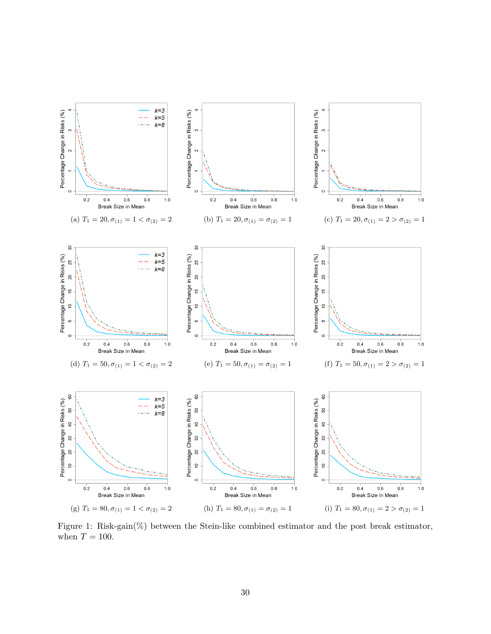<span id="page-30-0"></span>

Figure 1: Risk-gain(%) between the Stein-like combined estimator and the post break estimator, when  $T=100.\,$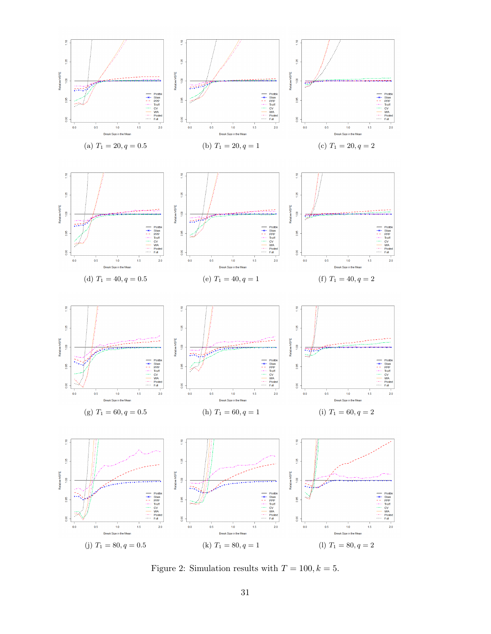<span id="page-31-0"></span>

Figure 2: Simulation results with  $T = 100, k = 5$ .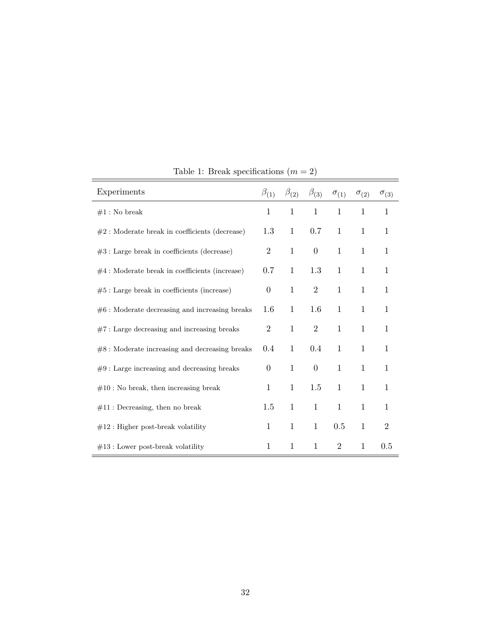<span id="page-32-0"></span>

| Experiments                                      | $\beta_{(1)}$    | $\beta_{(2)}$ | $\beta_{(3)}$    | $\sigma_{(1)}$ | $\sigma_{(2)}$ | $\sigma_{(3)}$ |
|--------------------------------------------------|------------------|---------------|------------------|----------------|----------------|----------------|
| $#1$ : No break                                  | 1                | $\mathbf{1}$  | $\mathbf{1}$     | $\mathbf{1}$   | 1              | $\mathbf 1$    |
| $#2:$ Moderate break in coefficients (decrease)  | 1.3              | $\mathbf{1}$  | 0.7              | $\mathbf{1}$   | $\mathbf{1}$   | $\mathbf{1}$   |
| $#3:$ Large break in coefficients (decrease)     | $\sqrt{2}$       | $\,1$         | $\boldsymbol{0}$ | $1\,$          | $\mathbf{1}$   | $1\,$          |
| $#4$ : Moderate break in coefficients (increase) | 0.7              | $\mathbf{1}$  | 1.3              | $\mathbf{1}$   | $\mathbf{1}$   | $\mathbf{1}$   |
| $#5:$ Large break in coefficients (increase)     | $\theta$         | $\mathbf{1}$  | $\overline{2}$   | $\mathbf{1}$   | $\mathbf{1}$   | $\mathbf 1$    |
| $#6$ : Moderate decreasing and increasing breaks | 1.6              | $\mathbf{1}$  | 1.6              | $\mathbf{1}$   | $\mathbf{1}$   | $\mathbf{1}$   |
| $#7:$ Large decreasing and increasing breaks     | $\overline{2}$   | $\mathbf{1}$  | $\overline{2}$   | $\mathbf{1}$   | $\mathbf{1}$   | $\mathbf{1}$   |
| $#8$ : Moderate increasing and decreasing breaks | 0.4              | 1             | 0.4              | $\mathbf{1}$   | 1              | $\mathbf 1$    |
| $#9:$ Large increasing and decreasing breaks     | $\boldsymbol{0}$ | $\mathbf{1}$  | $\overline{0}$   | $\mathbf{1}$   | $\mathbf{1}$   | $\mathbf{1}$   |
| $\#10:$ No break, then increasing break          | $\mathbf{1}$     | $\mathbf{1}$  | 1.5              | $1\,$          | $\mathbf{1}$   | $1\,$          |
| $#11:$ Decreasing, then no break                 | 1.5              | $\mathbf{1}$  | $\mathbf{1}$     | $\mathbf{1}$   | $\mathbf{1}$   | $\mathbf{1}$   |
| $#12:$ Higher post-break volatility              | $\mathbf 1$      | $\mathbf{1}$  | $1\,$            | 0.5            | $\mathbf{1}$   | $\overline{2}$ |
| $#13:$ Lower post-break volatility               | $\mathbf{1}$     | $\mathbf 1$   | $\mathbf 1$      | $\sqrt{2}$     | $\mathbf{1}$   | 0.5            |

Table 1: Break specifications  $(m = 2)$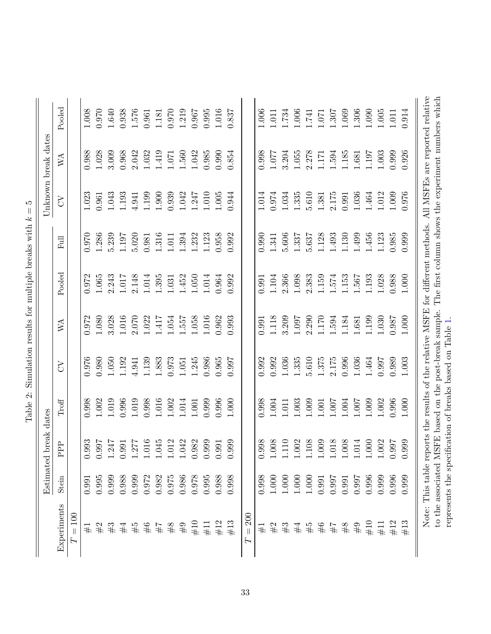<span id="page-33-0"></span>

|                          | Estimated           | break dates                     |       |                                                          |       |        |       |                 | Unknown break dates |                                                                                                                                                                         |
|--------------------------|---------------------|---------------------------------|-------|----------------------------------------------------------|-------|--------|-------|-----------------|---------------------|-------------------------------------------------------------------------------------------------------------------------------------------------------------------------|
| Experiments              | Stein               | PPP                             | Troff | $\overline{C}$                                           | WА    | Pooled | Full  | $\widetilde{C}$ | WΑ                  | Pooled                                                                                                                                                                  |
| $=100$<br>$\overline{L}$ |                     |                                 |       |                                                          |       |        |       |                 |                     |                                                                                                                                                                         |
| $\ddot{*}$               | $\!0.991\!$         | 993<br>$\dot{\circ}$            | 0.998 | 0.976                                                    | 0.972 | 0.972  | 0.970 | 1.023           | 0.988               | 1.008                                                                                                                                                                   |
| #2                       | 0.995               | 766<br>ö                        | 1.002 | 0.980                                                    | 1.080 | 1.065  | 1.286 | 0.961           | 1.028               | 0.970                                                                                                                                                                   |
| $\#3$                    | 0.999               | 247<br>$\overline{\phantom{a}}$ | 1.019 | $1.050\,$                                                | 3.028 | 2.243  | 5.239 | 1.043           | 3.009               | 1.640                                                                                                                                                                   |
| $\#4$                    | 0.988               | 991<br>$\circ$                  | 0.996 | 1.192                                                    | 1.016 | 1.017  | 1.197 | 1.193           | 0.968               | 0.938                                                                                                                                                                   |
| #5                       | 0.999               | 277<br>$\div$                   | 1.019 | 4.941                                                    | 2.070 | 2.148  | 5.020 | 4.941           | 2.042               | 1.576                                                                                                                                                                   |
| #6                       | 0.972               | 016                             | 0.998 | 1.139                                                    | 1.022 | 1.014  | 0.981 | 1.199           | 1.032               | 0.961                                                                                                                                                                   |
| $1\#$                    | 0.982               | 045<br>$\overline{\phantom{0}}$ | 1.016 | 1.883                                                    | 1.417 | 1.395  | 1.316 | 1.900           | 1.419               | 1.181                                                                                                                                                                   |
| $\#8$                    | 0.975               | 012<br>$\overline{\phantom{0}}$ | 1.002 | 0.973                                                    | 1.054 | 1.031  | 1.011 | 0.939           | 1.071               | 0.970                                                                                                                                                                   |
| $\#9$                    | 0.986               | 042<br>$\div$                   | 1.014 | 1.051                                                    | 1.557 | 1.452  | 1.394 | 1.042           | 1.560               | 1.219                                                                                                                                                                   |
| $\#10$                   | $0.978\,$           | 982<br>$\dot{\circ}$            | 1.001 | 1.245                                                    | 1.058 | 1.050  | 1.232 | 1.247           | 1.042               | 0.967                                                                                                                                                                   |
| $\sharp$ 11              | 0.995               | 999<br>$\circ$                  | 0.999 | 0.986                                                    | 1.016 | 1.014  | 1.123 | 010             | 0.985               | 0.995                                                                                                                                                                   |
| $\#12$                   | 0.988               | .991<br>$\circ$                 | 0.996 | 0.965                                                    | 0.962 | 0.964  | 0.958 | 1.005           | 0.990               | 1.016                                                                                                                                                                   |
| #13                      | 0.998               | 999<br>$\circ$                  | 1.000 | 0.997                                                    | 0.993 | 0.992  | 0.992 | 0.944           | 0.854               | 0.837                                                                                                                                                                   |
| 200<br>$\overline{L}$    |                     |                                 |       |                                                          |       |        |       |                 |                     |                                                                                                                                                                         |
| $\#1$                    | 0.998               | 998<br>$\dot{\circ}$            | 0.998 | 0.992                                                    | 0.991 | 0.991  | 0.990 | 1.014           | 0.998               | 1.006                                                                                                                                                                   |
| #2                       | 1.000               | 008                             | 1.004 | 0.992                                                    | 1.118 | 1.104  | 1.341 | 0.974           | 1.077               | 1.011                                                                                                                                                                   |
| #3                       | $1.000$             | 110<br>$\overline{\phantom{a}}$ | 1.011 | 1.036                                                    | 3.209 | 2.366  | 5.606 | 1.034           | 3.204               | 1.734                                                                                                                                                                   |
| $\#4$                    | $1.000$             | 002<br>$\overline{\phantom{a}}$ | 1.003 | 1.335                                                    | 1.097 | 1.098  | 1.337 | 1.335           | 1.055               | 1.006                                                                                                                                                                   |
| $\#5$                    | 1.000               | 108<br>$\overline{\phantom{0}}$ | 1.009 | 5.610                                                    | 2.290 | 2.383  | 5.637 | 5.610           | 2.278               | 1.741                                                                                                                                                                   |
| $\#6$                    | 0.991               | 000                             | 1.001 | 1.375                                                    | 1.170 | 1.159  | 1.128 | 1.381           | 1.171               | 1.071                                                                                                                                                                   |
| $1\#$                    | 0.997               | 018                             | 1.007 | 2.175                                                    | 1.594 | 1.574  | 1.493 | 2.175           | 1.594               | 1.307                                                                                                                                                                   |
| $\#8$                    | $\!0.991$           | 008                             | 1.004 | 0.996                                                    | 1.184 | 1.153  | 1.130 | 0.991           | 1.185               | 1.069                                                                                                                                                                   |
| $\#9$                    | <b>166°0</b>        | 014                             | 1.007 | 1.036                                                    | 1.681 | 1.567  | 1.499 | 1.036           | 1.681               | 1.306                                                                                                                                                                   |
| #10                      | 0.996               | 000                             | 1.009 | 1.464                                                    | 1.199 | 1.193  | 1.456 | 1.464           | 1.197               | 1.090                                                                                                                                                                   |
| $\sharp$ 11              | 0.999               | .002<br>$\div$                  | 1.002 | 0.997                                                    | 1.030 | 1.028  | 1.123 | 1.012           | 1.003               | 1.005                                                                                                                                                                   |
| $\#12$                   | 0.996               | <b>166</b><br>$\circ$           | 0.996 | 0.989                                                    | 0.987 | 0.988  | 0.985 | 1.009           | 0.999               | $1.011\,$                                                                                                                                                               |
| #13                      | 0.999               | 999<br>$\circ$                  | 1.000 | .003                                                     | 000   | 1.000  | 0.999 | 0.976           | 0.926               | 0.914                                                                                                                                                                   |
|                          | to the associated M |                                 |       | SFE based on the post-break sample.                      |       |        |       |                 |                     | Note: This table reports the results of the relative MSFE for different methods. All MSFEs are reported relative<br>The first column shows the experiment numbers which |
|                          |                     |                                 |       | represents the specification of breaks based on Table 1. |       |        |       |                 |                     |                                                                                                                                                                         |